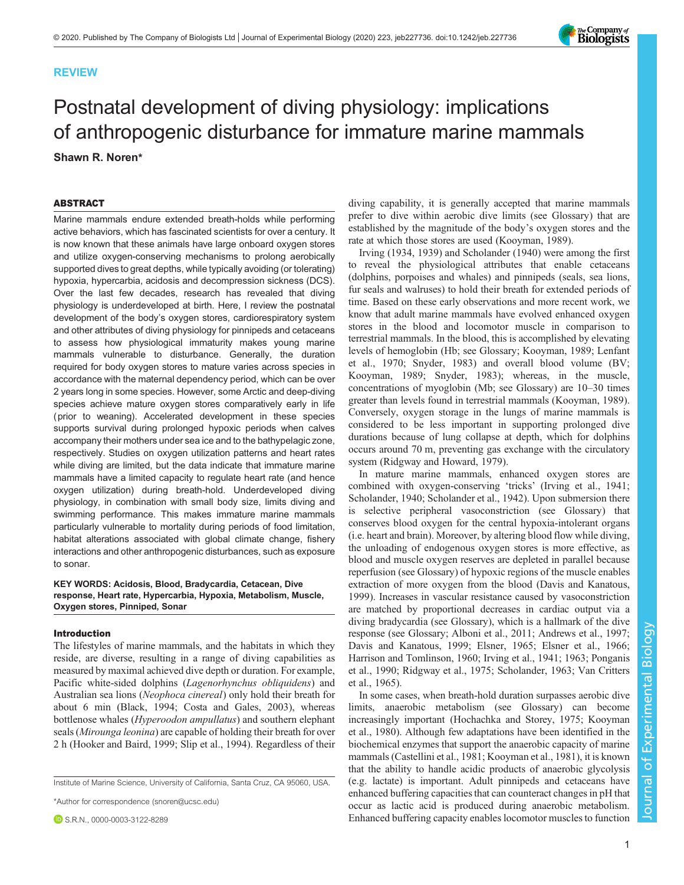# REVIEW

# Postnatal development of diving physiology: implications of anthropogenic disturbance for immature marine mammals Shawn R. Noren\*

# ABSTRACT

Marine mammals endure extended breath-holds while performing active behaviors, which has fascinated scientists for over a century. It is now known that these animals have large onboard oxygen stores and utilize oxygen-conserving mechanisms to prolong aerobically supported dives to great depths, while typically avoiding (or tolerating) hypoxia, hypercarbia, acidosis and decompression sickness (DCS). Over the last few decades, research has revealed that diving physiology is underdeveloped at birth. Here, I review the postnatal development of the body's oxygen stores, cardiorespiratory system and other attributes of diving physiology for pinnipeds and cetaceans to assess how physiological immaturity makes young marine mammals vulnerable to disturbance. Generally, the duration required for body oxygen stores to mature varies across species in accordance with the maternal dependency period, which can be over 2 years long in some species. However, some Arctic and deep-diving species achieve mature oxygen stores comparatively early in life (prior to weaning). Accelerated development in these species supports survival during prolonged hypoxic periods when calves accompany their mothers under sea ice and to the bathypelagic zone, respectively. Studies on oxygen utilization patterns and heart rates while diving are limited, but the data indicate that immature marine mammals have a limited capacity to regulate heart rate (and hence oxygen utilization) during breath-hold. Underdeveloped diving physiology, in combination with small body size, limits diving and swimming performance. This makes immature marine mammals particularly vulnerable to mortality during periods of food limitation, habitat alterations associated with global climate change, fishery interactions and other anthropogenic disturbances, such as exposure to sonar.

# KEY WORDS: Acidosis, Blood, Bradycardia, Cetacean, Dive response, Heart rate, Hypercarbia, Hypoxia, Metabolism, Muscle, Oxygen stores, Pinniped, Sonar

## Introduction

The lifestyles of marine mammals, and the habitats in which they reside, are diverse, resulting in a range of diving capabilities as measured by maximal achieved dive depth or duration. For example, Pacific white-sided dolphins (Lagenorhynchus obliquidens) and Australian sea lions (Neophoca cinereal) only hold their breath for about 6 min ([Black, 1994; Costa and Gales, 2003](#page-8-0)), whereas bottlenose whales (Hyperoodon ampullatus) and southern elephant seals (Mirounga leonina) are capable of holding their breath for over 2 h [\(Hooker and Baird, 1999;](#page-9-0) [Slip et al., 1994](#page-10-0)). Regardless of their

Institute of Marine Science, University of California, Santa Cruz, CA 95060, USA.

\*Author for correspondence [\(snoren@ucsc.edu](mailto:snoren@ucsc.edu))

**D** S.R.N., [0000-0003-3122-8289](http://orcid.org/0000-0003-3122-8289)

diving capability, it is generally accepted that marine mammals prefer to dive within aerobic dive limits (see Glossary) that are established by the magnitude of the body's oxygen stores and the rate at which those stores are used ([Kooyman, 1989](#page-9-0)).

[Irving \(1934, 1939\)](#page-9-0) and [Scholander \(1940\)](#page-10-0) were among the first to reveal the physiological attributes that enable cetaceans (dolphins, porpoises and whales) and pinnipeds (seals, sea lions, fur seals and walruses) to hold their breath for extended periods of time. Based on these early observations and more recent work, we know that adult marine mammals have evolved enhanced oxygen stores in the blood and locomotor muscle in comparison to terrestrial mammals. In the blood, this is accomplished by elevating levels of hemoglobin (Hb; see Glossary; [Kooyman, 1989; Lenfant](#page-9-0) [et al., 1970](#page-9-0); [Snyder, 1983\)](#page-10-0) and overall blood volume (BV; [Kooyman, 1989;](#page-9-0) [Snyder, 1983](#page-10-0)); whereas, in the muscle, concentrations of myoglobin (Mb; see Glossary) are 10–30 times greater than levels found in terrestrial mammals [\(Kooyman, 1989\)](#page-9-0). Conversely, oxygen storage in the lungs of marine mammals is considered to be less important in supporting prolonged dive durations because of lung collapse at depth, which for dolphins occurs around 70 m, preventing gas exchange with the circulatory system [\(Ridgway and Howard, 1979\)](#page-10-0).

In mature marine mammals, enhanced oxygen stores are combined with oxygen-conserving 'tricks' [\(Irving et al., 1941](#page-9-0); [Scholander, 1940; Scholander et al., 1942\)](#page-10-0). Upon submersion there is selective peripheral vasoconstriction (see Glossary) that conserves blood oxygen for the central hypoxia-intolerant organs (i.e. heart and brain). Moreover, by altering blood flow while diving, the unloading of endogenous oxygen stores is more effective, as blood and muscle oxygen reserves are depleted in parallel because reperfusion (see Glossary) of hypoxic regions of the muscle enables extraction of more oxygen from the blood [\(Davis and Kanatous,](#page-8-0) [1999\)](#page-8-0). Increases in vascular resistance caused by vasoconstriction are matched by proportional decreases in cardiac output via a diving bradycardia (see Glossary), which is a hallmark of the dive response (see Glossary; [Alboni et al., 2011; Andrews et al., 1997](#page-7-0); [Davis and Kanatous, 1999; Elsner, 1965; Elsner et al., 1966](#page-8-0); [Harrison and Tomlinson, 1960; Irving et al., 1941](#page-9-0); [1963;](#page-9-0) [Ponganis](#page-10-0) [et al., 1990; Ridgway et al., 1975; Scholander, 1963](#page-10-0); [Van Critters](#page-10-0) [et al., 1965\)](#page-10-0).

In some cases, when breath-hold duration surpasses aerobic dive limits, anaerobic metabolism (see Glossary) can become increasingly important [\(Hochachka and Storey, 1975; Kooyman](#page-9-0) [et al., 1980\)](#page-9-0). Although few adaptations have been identified in the biochemical enzymes that support the anaerobic capacity of marine mammals [\(Castellini et al., 1981;](#page-8-0) [Kooyman et al., 1981](#page-9-0)), it is known that the ability to handle acidic products of anaerobic glycolysis (e.g. lactate) is important. Adult pinnipeds and cetaceans have enhanced buffering capacities that can counteract changes in pH that occur as lactic acid is produced during anaerobic metabolism. Enhanced buffering capacity enables locomotor muscles to function Journal of Experimental Biology

 $\overline{\circ}$ 

Journal

Experimental Biology

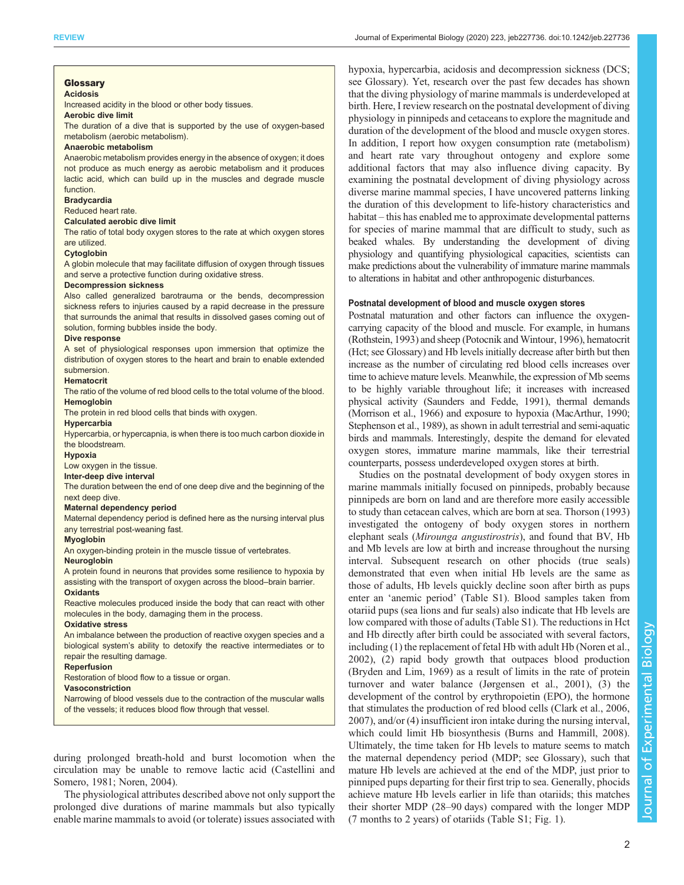#### Glossary Acidosis

Increased acidity in the blood or other body tissues.

Aerobic dive limit

The duration of a dive that is supported by the use of oxygen-based metabolism (aerobic metabolism).

#### Anaerobic metabolism

Anaerobic metabolism provides energy in the absence of oxygen; it does not produce as much energy as aerobic metabolism and it produces lactic acid, which can build up in the muscles and degrade muscle function.

### **Bradycardia**

Reduced heart rate.

## Calculated aerobic dive limit

The ratio of total body oxygen stores to the rate at which oxygen stores are utilized.

#### Cytoglobin

A globin molecule that may facilitate diffusion of oxygen through tissues and serve a protective function during oxidative stress.

#### Decompression sickness

Also called generalized barotrauma or the bends, decompression sickness refers to injuries caused by a rapid decrease in the pressure that surrounds the animal that results in dissolved gases coming out of solution, forming bubbles inside the body.

## Dive response

A set of physiological responses upon immersion that optimize the distribution of oxygen stores to the heart and brain to enable extended submersion.

#### Hematocrit

The ratio of the volume of red blood cells to the total volume of the blood. **Hemoglobin** 

The protein in red blood cells that binds with oxygen.

**Hypercarbia** 

Hypercarbia, or hypercapnia, is when there is too much carbon dioxide in the bloodstream.

# Hypoxia

Low oxygen in the tissue.

Inter-deep dive interval

The duration between the end of one deep dive and the beginning of the next deep dive.

## Maternal dependency period

Maternal dependency period is defined here as the nursing interval plus any terrestrial post-weaning fast.

## Myoglobin

An oxygen-binding protein in the muscle tissue of vertebrates.

#### **Neuroglobin**

A protein found in neurons that provides some resilience to hypoxia by assisting with the transport of oxygen across the blood–brain barrier. **Oxidants** 

Reactive molecules produced inside the body that can react with other molecules in the body, damaging them in the process.

## Oxidative stress

An imbalance between the production of reactive oxygen species and a biological system's ability to detoxify the reactive intermediates or to repair the resulting damage.

## **Reperfusion**

Restoration of blood flow to a tissue or organ.

#### Vasoconstriction

Narrowing of blood vessels due to the contraction of the muscular walls of the vessels; it reduces blood flow through that vessel.

during prolonged breath-hold and burst locomotion when the circulation may be unable to remove lactic acid [\(Castellini and](#page-8-0) [Somero, 1981](#page-8-0); [Noren, 2004\)](#page-9-0).

The physiological attributes described above not only support the prolonged dive durations of marine mammals but also typically enable marine mammals to avoid (or tolerate) issues associated with

hypoxia, hypercarbia, acidosis and decompression sickness (DCS; see Glossary). Yet, research over the past few decades has shown that the diving physiology of marine mammals is underdeveloped at birth. Here, I review research on the postnatal development of diving physiology in pinnipeds and cetaceans to explore the magnitude and duration of the development of the blood and muscle oxygen stores. In addition, I report how oxygen consumption rate (metabolism) and heart rate vary throughout ontogeny and explore some additional factors that may also influence diving capacity. By examining the postnatal development of diving physiology across diverse marine mammal species, I have uncovered patterns linking the duration of this development to life-history characteristics and habitat – this has enabled me to approximate developmental patterns for species of marine mammal that are difficult to study, such as beaked whales. By understanding the development of diving physiology and quantifying physiological capacities, scientists can make predictions about the vulnerability of immature marine mammals to alterations in habitat and other anthropogenic disturbances.

## Postnatal development of blood and muscle oxygen stores

Postnatal maturation and other factors can influence the oxygencarrying capacity of the blood and muscle. For example, in humans [\(Rothstein, 1993\)](#page-10-0) and sheep [\(Potocnik and Wintour, 1996\)](#page-10-0), hematocrit (Hct; see Glossary) and Hb levels initially decrease after birth but then increase as the number of circulating red blood cells increases over time to achieve mature levels. Meanwhile, the expression of Mb seems to be highly variable throughout life; it increases with increased physical activity [\(Saunders and Fedde, 1991\)](#page-10-0), thermal demands [\(Morrison et al., 1966\)](#page-9-0) and exposure to hypoxia [\(MacArthur, 1990](#page-9-0); [Stephenson et al., 1989\)](#page-10-0), as shown in adult terrestrial and semi-aquatic birds and mammals. Interestingly, despite the demand for elevated oxygen stores, immature marine mammals, like their terrestrial counterparts, possess underdeveloped oxygen stores at birth.

Studies on the postnatal development of body oxygen stores in marine mammals initially focused on pinnipeds, probably because pinnipeds are born on land and are therefore more easily accessible to study than cetacean calves, which are born at sea. [Thorson \(1993\)](#page-10-0) investigated the ontogeny of body oxygen stores in northern elephant seals (Mirounga angustirostris), and found that BV, Hb and Mb levels are low at birth and increase throughout the nursing interval. Subsequent research on other phocids (true seals) demonstrated that even when initial Hb levels are the same as those of adults, Hb levels quickly decline soon after birth as pups enter an 'anemic period' (Table S1). Blood samples taken from otariid pups (sea lions and fur seals) also indicate that Hb levels are low compared with those of adults (Table S1). The reductions in Hct and Hb directly after birth could be associated with several factors, including (1) the replacement of fetal Hb with adult Hb ([Noren et al.,](#page-9-0) [2002\)](#page-9-0), (2) rapid body growth that outpaces blood production [\(Bryden and Lim, 1969\)](#page-8-0) as a result of limits in the rate of protein turnover and water balance [\(Jørgensen et al., 2001\)](#page-9-0), (3) the development of the control by erythropoietin (EPO), the hormone that stimulates the production of red blood cells [\(Clark et al., 2006,](#page-8-0) [2007\)](#page-8-0), and/or (4) insufficient iron intake during the nursing interval, which could limit Hb biosynthesis [\(Burns and Hammill, 2008\)](#page-8-0). Ultimately, the time taken for Hb levels to mature seems to match the maternal dependency period (MDP; see Glossary), such that mature Hb levels are achieved at the end of the MDP, just prior to pinniped pups departing for their first trip to sea. Generally, phocids achieve mature Hb levels earlier in life than otariids; this matches their shorter MDP (28–90 days) compared with the longer MDP (7 months to 2 years) of otariids (Table S1; [Fig. 1](#page-2-0)).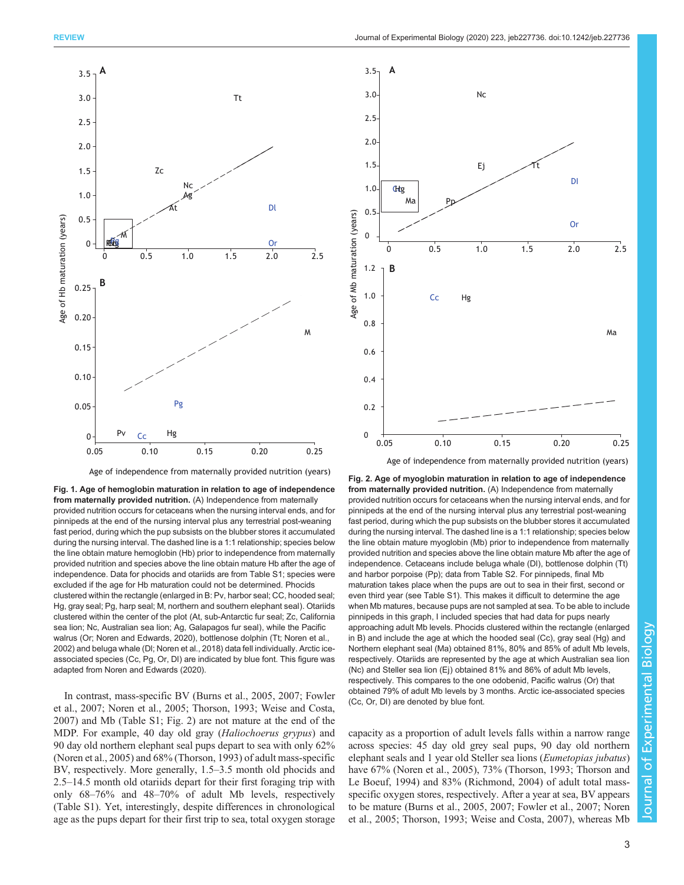<span id="page-2-0"></span>

Age of independence from maternally provided nutrition (years)

Fig. 1. Age of hemoglobin maturation in relation to age of independence from maternally provided nutrition. (A) Independence from maternally provided nutrition occurs for cetaceans when the nursing interval ends, and for pinnipeds at the end of the nursing interval plus any terrestrial post-weaning fast period, during which the pup subsists on the blubber stores it accumulated during the nursing interval. The dashed line is a 1:1 relationship; species below the line obtain mature hemoglobin (Hb) prior to independence from maternally provided nutrition and species above the line obtain mature Hb after the age of independence. Data for phocids and otariids are from Table S1; species were excluded if the age for Hb maturation could not be determined. Phocids clustered within the rectangle (enlarged in B: Pv, harbor seal; CC, hooded seal; Hg, gray seal; Pg, harp seal; M, northern and southern elephant seal). Otariids clustered within the center of the plot (At, sub-Antarctic fur seal; Zc, California sea lion; Nc, Australian sea lion; Ag, Galapagos fur seal), while the Pacific walrus (Or; [Noren and Edwards, 2020\)](#page-9-0), bottlenose dolphin (Tt; [Noren et al.,](#page-9-0) [2002\)](#page-9-0) and beluga whale (Dl; [Noren et al., 2018\)](#page-10-0) data fell individually. Arctic iceassociated species (Cc, Pg, Or, Dl) are indicated by blue font. This figure was adapted from [Noren and Edwards \(2020\).](#page-9-0)

In contrast, mass-specific BV ([Burns et al., 2005](#page-8-0), [2007](#page-8-0); [Fowler](#page-8-0) [et al., 2007](#page-8-0); [Noren et al., 2005;](#page-9-0) [Thorson, 1993](#page-10-0); [Weise and Costa,](#page-10-0) [2007](#page-10-0)) and Mb (Table S1; Fig. 2) are not mature at the end of the MDP. For example, 40 day old gray (Haliochoerus grypus) and 90 day old northern elephant seal pups depart to sea with only 62% [\(Noren et al., 2005\)](#page-9-0) and 68% [\(Thorson, 1993\)](#page-10-0) of adult mass-specific BV, respectively. More generally, 1.5–3.5 month old phocids and 2.5–14.5 month old otariids depart for their first foraging trip with only 68–76% and 48–70% of adult Mb levels, respectively (Table S1). Yet, interestingly, despite differences in chronological age as the pups depart for their first trip to sea, total oxygen storage



Fig. 2. Age of myoglobin maturation in relation to age of independence from maternally provided nutrition. (A) Independence from maternally provided nutrition occurs for cetaceans when the nursing interval ends, and for pinnipeds at the end of the nursing interval plus any terrestrial post-weaning fast period, during which the pup subsists on the blubber stores it accumulated during the nursing interval. The dashed line is a 1:1 relationship; species below the line obtain mature myoglobin (Mb) prior to independence from maternally provided nutrition and species above the line obtain mature Mb after the age of independence. Cetaceans include beluga whale (Dl), bottlenose dolphin (Tt) and harbor porpoise (Pp); data from Table S2. For pinnipeds, final Mb maturation takes place when the pups are out to sea in their first, second or even third year (see Table S1). This makes it difficult to determine the age when Mb matures, because pups are not sampled at sea. To be able to include pinnipeds in this graph, I included species that had data for pups nearly approaching adult Mb levels. Phocids clustered within the rectangle (enlarged in B) and include the age at which the hooded seal (Cc), gray seal (Hg) and Northern elephant seal (Ma) obtained 81%, 80% and 85% of adult Mb levels, respectively. Otariids are represented by the age at which Australian sea lion (Nc) and Steller sea lion (Ej) obtained 81% and 86% of adult Mb levels, respectively. This compares to the one odobenid, Pacific walrus (Or) that obtained 79% of adult Mb levels by 3 months. Arctic ice-associated species (Cc, Or, Dl) are denoted by blue font.

capacity as a proportion of adult levels falls within a narrow range across species: 45 day old grey seal pups, 90 day old northern elephant seals and 1 year old Steller sea lions (Eumetopias jubatus) have 67% [\(Noren et al., 2005\)](#page-9-0), 73% [\(Thorson, 1993; Thorson and](#page-10-0) [Le Boeuf, 1994\)](#page-10-0) and 83% [\(Richmond, 2004](#page-10-0)) of adult total massspecific oxygen stores, respectively. After a year at sea, BV appears to be mature [\(Burns et al., 2005, 2007; Fowler et al., 2007](#page-8-0); [Noren](#page-9-0) [et al., 2005;](#page-9-0) [Thorson, 1993; Weise and Costa, 2007](#page-10-0)), whereas Mb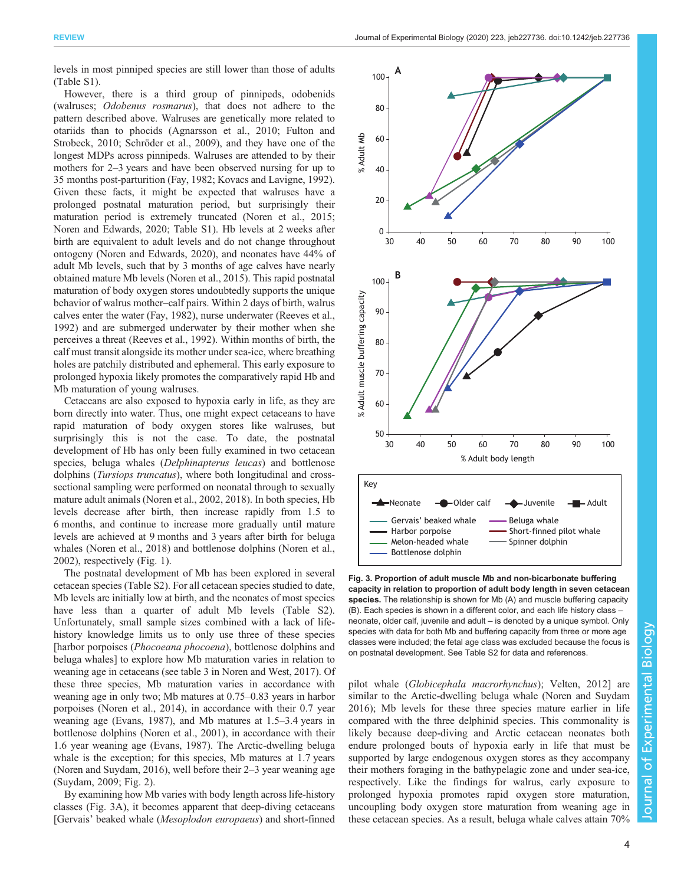<span id="page-3-0"></span>levels in most pinniped species are still lower than those of adults (Table S1).

However, there is a third group of pinnipeds, odobenids (walruses; Odobenus rosmarus), that does not adhere to the pattern described above. Walruses are genetically more related to otariids than to phocids [\(Agnarsson et al., 2010](#page-7-0); [Fulton and](#page-8-0) [Strobeck, 2010](#page-8-0); [Schröder et al., 2009\)](#page-10-0), and they have one of the longest MDPs across pinnipeds. Walruses are attended to by their mothers for 2–3 years and have been observed nursing for up to 35 months post-parturition [\(Fay, 1982](#page-8-0); [Kovacs and Lavigne, 1992\)](#page-9-0). Given these facts, it might be expected that walruses have a prolonged postnatal maturation period, but surprisingly their maturation period is extremely truncated ([Noren et al., 2015](#page-10-0); [Noren and Edwards, 2020;](#page-9-0) Table S1). Hb levels at 2 weeks after birth are equivalent to adult levels and do not change throughout ontogeny [\(Noren and Edwards, 2020\)](#page-9-0), and neonates have 44% of adult Mb levels, such that by 3 months of age calves have nearly obtained mature Mb levels [\(Noren et al., 2015\)](#page-10-0). This rapid postnatal maturation of body oxygen stores undoubtedly supports the unique behavior of walrus mother–calf pairs. Within 2 days of birth, walrus calves enter the water ([Fay, 1982\)](#page-8-0), nurse underwater [\(Reeves et al.,](#page-10-0) [1992](#page-10-0)) and are submerged underwater by their mother when she perceives a threat ([Reeves et al., 1992\)](#page-10-0). Within months of birth, the calf must transit alongside its mother under sea-ice, where breathing holes are patchily distributed and ephemeral. This early exposure to prolonged hypoxia likely promotes the comparatively rapid Hb and Mb maturation of young walruses.

Cetaceans are also exposed to hypoxia early in life, as they are born directly into water. Thus, one might expect cetaceans to have rapid maturation of body oxygen stores like walruses, but surprisingly this is not the case. To date, the postnatal development of Hb has only been fully examined in two cetacean species, beluga whales (Delphinapterus leucas) and bottlenose dolphins (Tursiops truncatus), where both longitudinal and crosssectional sampling were performed on neonatal through to sexually mature adult animals ([Noren et al., 2002](#page-9-0), [2018\)](#page-10-0). In both species, Hb levels decrease after birth, then increase rapidly from 1.5 to 6 months, and continue to increase more gradually until mature levels are achieved at 9 months and 3 years after birth for beluga whales [\(Noren et al., 2018\)](#page-10-0) and bottlenose dolphins ([Noren et al.,](#page-9-0) [2002](#page-9-0)), respectively ([Fig. 1](#page-2-0)).

The postnatal development of Mb has been explored in several cetacean species (Table S2). For all cetacean species studied to date, Mb levels are initially low at birth, and the neonates of most species have less than a quarter of adult Mb levels (Table S2). Unfortunately, small sample sizes combined with a lack of lifehistory knowledge limits us to only use three of these species [harbor porpoises (Phocoeana phocoena), bottlenose dolphins and beluga whales] to explore how Mb maturation varies in relation to weaning age in cetaceans (see table 3 in [Noren and West, 2017](#page-9-0)). Of these three species, Mb maturation varies in accordance with weaning age in only two; Mb matures at 0.75–0.83 years in harbor porpoises ([Noren et al., 2014](#page-10-0)), in accordance with their 0.7 year weaning age [\(Evans, 1987\)](#page-8-0), and Mb matures at 1.5–3.4 years in bottlenose dolphins ([Noren et al., 2001\)](#page-9-0), in accordance with their 1.6 year weaning age [\(Evans, 1987](#page-8-0)). The Arctic-dwelling beluga whale is the exception; for this species, Mb matures at 1.7 years [\(Noren and Suydam, 2016](#page-9-0)), well before their 2–3 year weaning age [\(Suydam, 2009](#page-10-0); [Fig. 2\)](#page-2-0).

By examining how Mb varies with body length across life-history classes (Fig. 3A), it becomes apparent that deep-diving cetaceans [Gervais' beaked whale (Mesoplodon europaeus) and short-finned



Fig. 3. Proportion of adult muscle Mb and non-bicarbonate buffering capacity in relation to proportion of adult body length in seven cetacean species. The relationship is shown for Mb (A) and muscle buffering capacity (B). Each species is shown in a different color, and each life history class – neonate, older calf, juvenile and adult – is denoted by a unique symbol. Only species with data for both Mb and buffering capacity from three or more age classes were included; the fetal age class was excluded because the focus is on postnatal development. See Table S2 for data and references.

Melon-headed whale - Spinner dolphin

Bottlenose dolphin

pilot whale (Globicephala macrorhynchus); [Velten, 2012](#page-10-0)] are similar to the Arctic-dwelling beluga whale ([Noren and Suydam](#page-9-0) [2016\)](#page-9-0); Mb levels for these three species mature earlier in life compared with the three delphinid species. This commonality is likely because deep-diving and Arctic cetacean neonates both endure prolonged bouts of hypoxia early in life that must be supported by large endogenous oxygen stores as they accompany their mothers foraging in the bathypelagic zone and under sea-ice, respectively. Like the findings for walrus, early exposure to prolonged hypoxia promotes rapid oxygen store maturation, uncoupling body oxygen store maturation from weaning age in these cetacean species. As a result, beluga whale calves attain 70%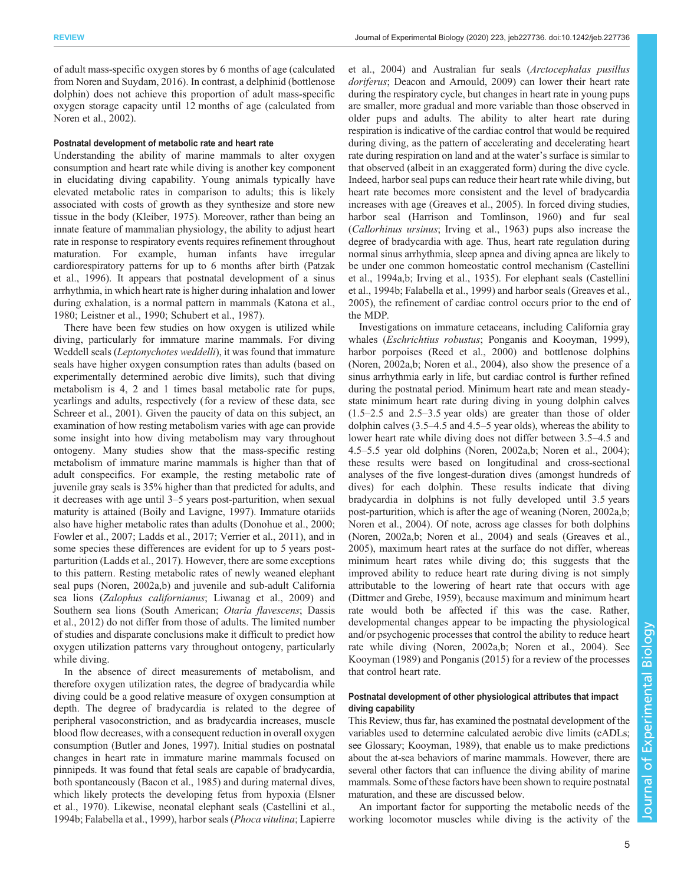of adult mass-specific oxygen stores by 6 months of age (calculated from [Noren and Suydam, 2016](#page-9-0)). In contrast, a delphinid (bottlenose dolphin) does not achieve this proportion of adult mass-specific oxygen storage capacity until 12 months of age (calculated from [Noren et al., 2002\)](#page-9-0).

## Postnatal development of metabolic rate and heart rate

Understanding the ability of marine mammals to alter oxygen consumption and heart rate while diving is another key component in elucidating diving capability. Young animals typically have elevated metabolic rates in comparison to adults; this is likely associated with costs of growth as they synthesize and store new tissue in the body ([Kleiber, 1975\)](#page-9-0). Moreover, rather than being an innate feature of mammalian physiology, the ability to adjust heart rate in response to respiratory events requires refinement throughout maturation. For example, human infants have irregular cardiorespiratory patterns for up to 6 months after birth [\(Patzak](#page-10-0) [et al., 1996\)](#page-10-0). It appears that postnatal development of a sinus arrhythmia, in which heart rate is higher during inhalation and lower during exhalation, is a normal pattern in mammals ([Katona et al.,](#page-9-0) [1980](#page-9-0); [Leistner et al., 1990;](#page-9-0) [Schubert et al., 1987\)](#page-10-0).

There have been few studies on how oxygen is utilized while diving, particularly for immature marine mammals. For diving Weddell seals (Leptonychotes weddelli), it was found that immature seals have higher oxygen consumption rates than adults (based on experimentally determined aerobic dive limits), such that diving metabolism is 4, 2 and 1 times basal metabolic rate for pups, yearlings and adults, respectively (for a review of these data, see [Schreer et al., 2001](#page-10-0)). Given the paucity of data on this subject, an examination of how resting metabolism varies with age can provide some insight into how diving metabolism may vary throughout ontogeny. Many studies show that the mass-specific resting metabolism of immature marine mammals is higher than that of adult conspecifics. For example, the resting metabolic rate of juvenile gray seals is 35% higher than that predicted for adults, and it decreases with age until 3–5 years post-parturition, when sexual maturity is attained ([Boily and Lavigne, 1997](#page-8-0)). Immature otariids also have higher metabolic rates than adults ([Donohue et al., 2000](#page-8-0); [Fowler et al., 2007;](#page-8-0) [Ladds et al., 2017;](#page-9-0) [Verrier et al., 2011](#page-10-0)), and in some species these differences are evident for up to 5 years postparturition ([Ladds et al., 2017\)](#page-9-0). However, there are some exceptions to this pattern. Resting metabolic rates of newly weaned elephant seal pups [\(Noren, 2002a,b\)](#page-9-0) and juvenile and sub-adult California sea lions (Zalophus californianus; [Liwanag et al., 2009\)](#page-9-0) and Southern sea lions (South American; Otaria flavescens; [Dassis](#page-8-0) [et al., 2012\)](#page-8-0) do not differ from those of adults. The limited number of studies and disparate conclusions make it difficult to predict how oxygen utilization patterns vary throughout ontogeny, particularly while diving.

In the absence of direct measurements of metabolism, and therefore oxygen utilization rates, the degree of bradycardia while diving could be a good relative measure of oxygen consumption at depth. The degree of bradycardia is related to the degree of peripheral vasoconstriction, and as bradycardia increases, muscle blood flow decreases, with a consequent reduction in overall oxygen consumption ([Butler and Jones, 1997](#page-8-0)). Initial studies on postnatal changes in heart rate in immature marine mammals focused on pinnipeds. It was found that fetal seals are capable of bradycardia, both spontaneously ([Bacon et al., 1985\)](#page-8-0) and during maternal dives, which likely protects the developing fetus from hypoxia ([Elsner](#page-8-0) [et al., 1970\)](#page-8-0). Likewise, neonatal elephant seals [\(Castellini et al.,](#page-8-0) [1994b; Falabella et al., 1999\)](#page-8-0), harbor seals (Phoca vitulina; [Lapierre](#page-9-0)

[et al., 2004](#page-9-0)) and Australian fur seals (Arctocephalas pusillus doriferus; [Deacon and Arnould, 2009](#page-8-0)) can lower their heart rate during the respiratory cycle, but changes in heart rate in young pups are smaller, more gradual and more variable than those observed in older pups and adults. The ability to alter heart rate during respiration is indicative of the cardiac control that would be required during diving, as the pattern of accelerating and decelerating heart rate during respiration on land and at the water's surface is similar to that observed (albeit in an exaggerated form) during the dive cycle. Indeed, harbor seal pups can reduce their heart rate while diving, but heart rate becomes more consistent and the level of bradycardia increases with age [\(Greaves et al., 2005](#page-8-0)). In forced diving studies, harbor seal ([Harrison and Tomlinson, 1960\)](#page-9-0) and fur seal (Callorhinus ursinus; [Irving et al., 1963](#page-9-0)) pups also increase the degree of bradycardia with age. Thus, heart rate regulation during normal sinus arrhythmia, sleep apnea and diving apnea are likely to be under one common homeostatic control mechanism [\(Castellini](#page-8-0) [et al., 1994a,b](#page-8-0); [Irving et al., 1935](#page-9-0)). For elephant seals [\(Castellini](#page-8-0) [et al., 1994b](#page-8-0); [Falabella et al., 1999\)](#page-8-0) and harbor seals [\(Greaves et al.,](#page-8-0) [2005\)](#page-8-0), the refinement of cardiac control occurs prior to the end of the MDP.

Investigations on immature cetaceans, including California gray whales (Eschrichtius robustus; [Ponganis and Kooyman, 1999\)](#page-10-0), harbor porpoises ([Reed et al., 2000\)](#page-10-0) and bottlenose dolphins [\(Noren, 2002a,b](#page-9-0); [Noren et al., 2004](#page-9-0)), also show the presence of a sinus arrhythmia early in life, but cardiac control is further refined during the postnatal period. Minimum heart rate and mean steadystate minimum heart rate during diving in young dolphin calves (1.5–2.5 and 2.5–3.5 year olds) are greater than those of older dolphin calves (3.5–4.5 and 4.5–5 year olds), whereas the ability to lower heart rate while diving does not differ between 3.5–4.5 and 4.5–5.5 year old dolphins ([Noren, 2002a](#page-9-0),[b; Noren et al., 2004](#page-9-0)); these results were based on longitudinal and cross-sectional analyses of the five longest-duration dives (amongst hundreds of dives) for each dolphin. These results indicate that diving bradycardia in dolphins is not fully developed until 3.5 years post-parturition, which is after the age of weaning [\(Noren, 2002a](#page-9-0),[b](#page-9-0); [Noren et al., 2004](#page-9-0)). Of note, across age classes for both dolphins [\(Noren, 2002a](#page-9-0),[b](#page-9-0); [Noren et al., 2004\)](#page-9-0) and seals ([Greaves et al.,](#page-8-0) [2005\)](#page-8-0), maximum heart rates at the surface do not differ, whereas minimum heart rates while diving do; this suggests that the improved ability to reduce heart rate during diving is not simply attributable to the lowering of heart rate that occurs with age [\(Dittmer and Grebe, 1959](#page-8-0)), because maximum and minimum heart rate would both be affected if this was the case. Rather, developmental changes appear to be impacting the physiological and/or psychogenic processes that control the ability to reduce heart rate while diving ([Noren, 2002a,b; Noren et al., 2004](#page-9-0)). See [Kooyman \(1989\)](#page-9-0) and [Ponganis \(2015\)](#page-10-0) for a review of the processes that control heart rate.

# Postnatal development of other physiological attributes that impact diving capability

This Review, thus far, has examined the postnatal development of the variables used to determine calculated aerobic dive limits (cADLs; see Glossary; [Kooyman, 1989](#page-9-0)), that enable us to make predictions about the at-sea behaviors of marine mammals. However, there are several other factors that can influence the diving ability of marine mammals. Some of these factors have been shown to require postnatal maturation, and these are discussed below.

An important factor for supporting the metabolic needs of the working locomotor muscles while diving is the activity of the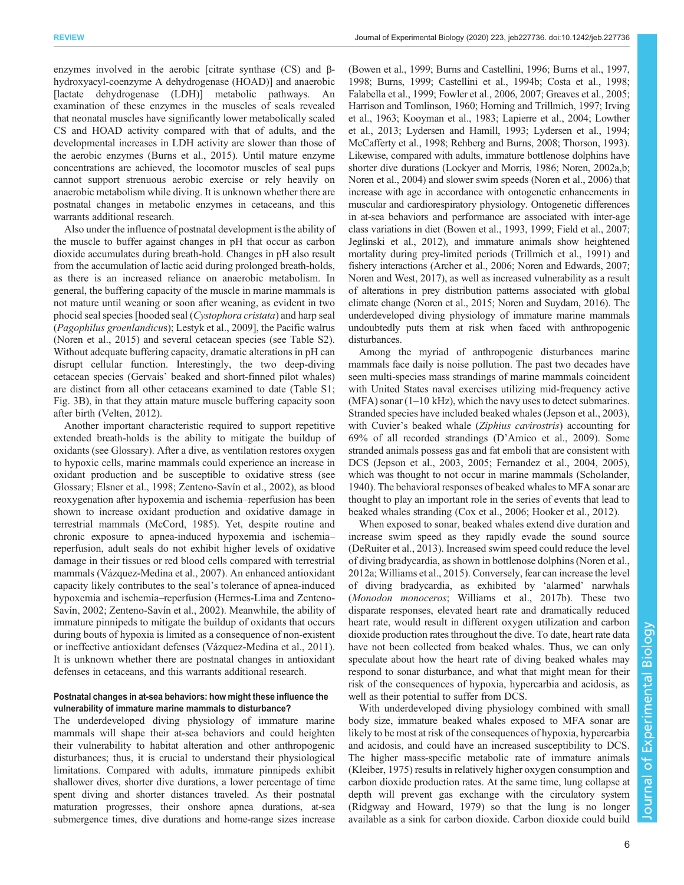enzymes involved in the aerobic [citrate synthase (CS) and βhydroxyacyl-coenzyme A dehydrogenase (HOAD)] and anaerobic [lactate dehydrogenase (LDH)] metabolic pathways. An examination of these enzymes in the muscles of seals revealed that neonatal muscles have significantly lower metabolically scaled CS and HOAD activity compared with that of adults, and the developmental increases in LDH activity are slower than those of the aerobic enzymes [\(Burns et al., 2015\)](#page-8-0). Until mature enzyme concentrations are achieved, the locomotor muscles of seal pups cannot support strenuous aerobic exercise or rely heavily on anaerobic metabolism while diving. It is unknown whether there are postnatal changes in metabolic enzymes in cetaceans, and this warrants additional research.

Also under the influence of postnatal development is the ability of the muscle to buffer against changes in pH that occur as carbon dioxide accumulates during breath-hold. Changes in pH also result from the accumulation of lactic acid during prolonged breath-holds, as there is an increased reliance on anaerobic metabolism. In general, the buffering capacity of the muscle in marine mammals is not mature until weaning or soon after weaning, as evident in two phocid seal species [hooded seal (Cystophora cristata) and harp seal (Pagophilus groenlandicus); [Lestyk et al., 2009](#page-9-0)], the Pacific walrus [\(Noren et al., 2015](#page-10-0)) and several cetacean species (see Table S2). Without adequate buffering capacity, dramatic alterations in pH can disrupt cellular function. Interestingly, the two deep-diving cetacean species (Gervais' beaked and short-finned pilot whales) are distinct from all other cetaceans examined to date (Table S1; [Fig. 3](#page-3-0)B), in that they attain mature muscle buffering capacity soon after birth ([Velten, 2012\)](#page-10-0).

Another important characteristic required to support repetitive extended breath-holds is the ability to mitigate the buildup of oxidants (see Glossary). After a dive, as ventilation restores oxygen to hypoxic cells, marine mammals could experience an increase in oxidant production and be susceptible to oxidative stress (see Glossary; [Elsner et al., 1998](#page-8-0); [Zenteno-Savín et al., 2002](#page-10-0)), as blood reoxygenation after hypoxemia and ischemia–reperfusion has been shown to increase oxidant production and oxidative damage in terrestrial mammals [\(McCord, 1985](#page-9-0)). Yet, despite routine and chronic exposure to apnea-induced hypoxemia and ischemia– reperfusion, adult seals do not exhibit higher levels of oxidative damage in their tissues or red blood cells compared with terrestrial mammals ([Vázquez-Medina et al., 2007](#page-10-0)). An enhanced antioxidant capacity likely contributes to the seal's tolerance of apnea-induced hypoxemia and ischemia–reperfusion [\(Hermes-Lima and Zenteno-](#page-9-0)[Savín, 2002;](#page-9-0) [Zenteno-Savín et al., 2002](#page-10-0)). Meanwhile, the ability of immature pinnipeds to mitigate the buildup of oxidants that occurs during bouts of hypoxia is limited as a consequence of non-existent or ineffective antioxidant defenses [\(Vázquez-Medina et al., 2011\)](#page-10-0). It is unknown whether there are postnatal changes in antioxidant defenses in cetaceans, and this warrants additional research.

# Postnatal changes in at-sea behaviors: how might these influence the vulnerability of immature marine mammals to disturbance?

The underdeveloped diving physiology of immature marine mammals will shape their at-sea behaviors and could heighten their vulnerability to habitat alteration and other anthropogenic disturbances; thus, it is crucial to understand their physiological limitations. Compared with adults, immature pinnipeds exhibit shallower dives, shorter dive durations, a lower percentage of time spent diving and shorter distances traveled. As their postnatal maturation progresses, their onshore apnea durations, at-sea submergence times, dive durations and home-range sizes increase

[\(Bowen et al., 1999](#page-8-0); [Burns and Castellini, 1996; Burns et al., 1997,](#page-8-0) [1998; Burns, 1999; Castellini et al., 1994b](#page-8-0); [Costa et al., 1998](#page-8-0); [Falabella et al., 1999](#page-8-0); [Fowler et al., 2006](#page-8-0), [2007](#page-8-0); [Greaves et al., 2005](#page-8-0); [Harrison and Tomlinson, 1960](#page-9-0); [Horning and Trillmich, 1997; Irving](#page-9-0) [et al., 1963](#page-9-0); [Kooyman et al., 1983](#page-9-0); [Lapierre et al., 2004](#page-9-0); [Lowther](#page-9-0) [et al., 2013; Lydersen and Hamill, 1993; Lydersen et al., 1994](#page-9-0); [McCafferty et al., 1998;](#page-9-0) [Rehberg and Burns, 2008](#page-10-0); [Thorson, 1993\)](#page-10-0). Likewise, compared with adults, immature bottlenose dolphins have shorter dive durations [\(Lockyer and Morris, 1986; Noren, 2002a](#page-9-0),[b](#page-9-0); [Noren et al., 2004](#page-9-0)) and slower swim speeds ([Noren et al., 2006](#page-10-0)) that increase with age in accordance with ontogenetic enhancements in muscular and cardiorespiratory physiology. Ontogenetic differences in at-sea behaviors and performance are associated with inter-age class variations in diet [\(Bowen et al., 1993](#page-8-0), [1999; Field et al., 2007](#page-8-0); [Jeglinski et al., 2012](#page-9-0)), and immature animals show heightened mortality during prey-limited periods ([Trillmich et al., 1991\)](#page-10-0) and fishery interactions [\(Archer et al., 2006](#page-7-0); [Noren and Edwards, 2007](#page-9-0); [Noren and West, 2017](#page-9-0)), as well as increased vulnerability as a result of alterations in prey distribution patterns associated with global climate change [\(Noren et al., 2015;](#page-10-0) [Noren and Suydam, 2016\)](#page-9-0). The underdeveloped diving physiology of immature marine mammals undoubtedly puts them at risk when faced with anthropogenic disturbances.

Among the myriad of anthropogenic disturbances marine mammals face daily is noise pollution. The past two decades have seen multi-species mass strandings of marine mammals coincident with United States naval exercises utilizing mid-frequency active  $(MFA)$  sonar  $(1-10$  kHz), which the navy uses to detect submarines. Stranded species have included beaked whales ([Jepson et al., 2003\)](#page-9-0), with Cuvier's beaked whale (Ziphius cavirostris) accounting for 69% of all recorded strandings (D'[Amico et al., 2009](#page-8-0)). Some stranded animals possess gas and fat emboli that are consistent with DCS ([Jepson et al., 2003, 2005](#page-9-0); [Fernandez et al., 2004](#page-8-0), [2005\)](#page-8-0), which was thought to not occur in marine mammals [\(Scholander,](#page-10-0) [1940\)](#page-10-0). The behavioral responses of beaked whales to MFA sonar are thought to play an important role in the series of events that lead to beaked whales stranding [\(Cox et al., 2006](#page-8-0); [Hooker et al., 2012\)](#page-9-0).

When exposed to sonar, beaked whales extend dive duration and increase swim speed as they rapidly evade the sound source [\(DeRuiter et al., 2013](#page-8-0)). Increased swim speed could reduce the level of diving bradycardia, as shown in bottlenose dolphins ([Noren et al.,](#page-10-0) [2012a](#page-10-0); [Williams et al., 2015](#page-10-0)). Conversely, fear can increase the level of diving bradycardia, as exhibited by 'alarmed' narwhals (Monodon monoceros; [Williams et al., 2017b\)](#page-10-0). These two disparate responses, elevated heart rate and dramatically reduced heart rate, would result in different oxygen utilization and carbon dioxide production rates throughout the dive. To date, heart rate data have not been collected from beaked whales. Thus, we can only speculate about how the heart rate of diving beaked whales may respond to sonar disturbance, and what that might mean for their risk of the consequences of hypoxia, hypercarbia and acidosis, as well as their potential to suffer from DCS.

With underdeveloped diving physiology combined with small body size, immature beaked whales exposed to MFA sonar are likely to be most at risk of the consequences of hypoxia, hypercarbia and acidosis, and could have an increased susceptibility to DCS. The higher mass-specific metabolic rate of immature animals [\(Kleiber, 1975\)](#page-9-0) results in relatively higher oxygen consumption and carbon dioxide production rates. At the same time, lung collapse at depth will prevent gas exchange with the circulatory system [\(Ridgway and Howard, 1979\)](#page-10-0) so that the lung is no longer available as a sink for carbon dioxide. Carbon dioxide could build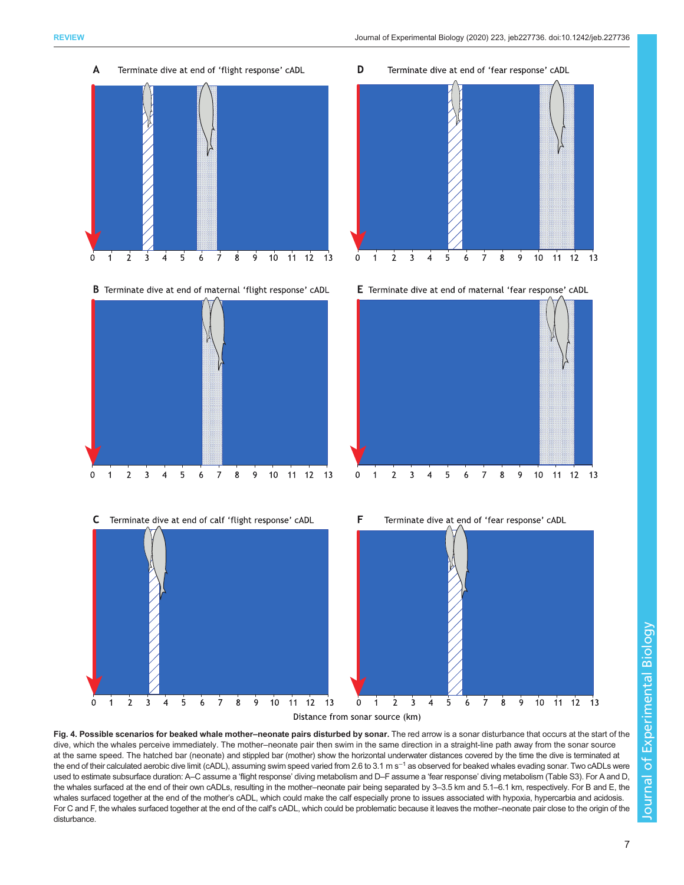<span id="page-6-0"></span>A

Terminate dive at end of 'fear response' cADL

- $11$  $12$  $10^{-}$ 5 6 8  $13$  $\Omega$ 2 3 B Terminate dive at end of maternal 'flight response' cADL  $10\,$ 11 12 13  $\mathbf 0$  $\mathbf{1}$  $\overline{2}$  $\overline{3}$  $\overline{4}$ 5 6  $\overline{7}$ 8 9  $\mathbf 0$  $\overline{1}$ 3 5
	- C Terminate dive at end of calf 'flight response' cADL

Terminate dive at end of 'flight response' cADL



 $10<sup>10</sup>$  $11 \t12 \t13$  $\mathbf{8}$  $\mathbf{q}$  $\overline{7}$ 

D

E Terminate dive at end of maternal 'fear response' cADL





Fig. 4. Possible scenarios for beaked whale mother-neonate pairs disturbed by sonar. The red arrow is a sonar disturbance that occurs at the start of the dive, which the whales perceive immediately. The mother–neonate pair then swim in the same direction in a straight-line path away from the sonar source at the same speed. The hatched bar (neonate) and stippled bar (mother) show the horizontal underwater distances covered by the time the dive is terminated at the end of their calculated aerobic dive limit (cADL), assuming swim speed varied from 2.6 to 3.1 m s<sup>-1</sup> as observed for beaked whales evading sonar. Two cADLs were used to estimate subsurface duration: A–C assume a 'flight response' diving metabolism and D–F assume a 'fear response' diving metabolism (Table S3). For A and D, the whales surfaced at the end of their own cADLs, resulting in the mother–neonate pair being separated by 3–3.5 km and 5.1–6.1 km, respectively. For B and E, the whales surfaced together at the end of the mother's cADL, which could make the calf especially prone to issues associated with hypoxia, hypercarbia and acidosis. For C and F, the whales surfaced together at the end of the calf's cADL, which could be problematic because it leaves the mother–neonate pair close to the origin of the disturbance.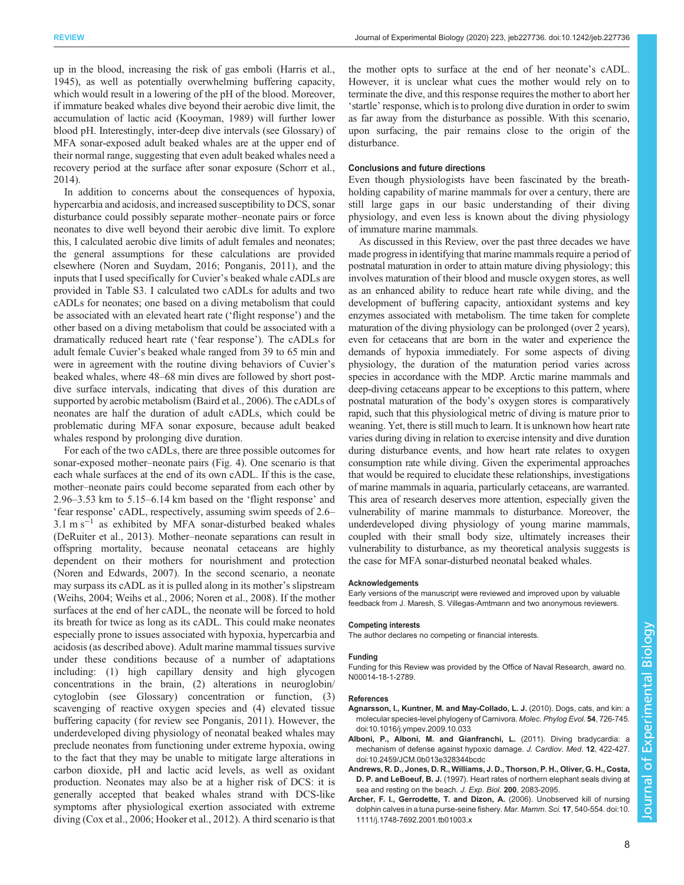<span id="page-7-0"></span>up in the blood, increasing the risk of gas emboli [\(Harris et al.,](#page-8-0) [1945](#page-8-0)), as well as potentially overwhelming buffering capacity, which would result in a lowering of the pH of the blood. Moreover, if immature beaked whales dive beyond their aerobic dive limit, the accumulation of lactic acid ([Kooyman, 1989\)](#page-9-0) will further lower blood pH. Interestingly, inter-deep dive intervals (see Glossary) of MFA sonar-exposed adult beaked whales are at the upper end of their normal range, suggesting that even adult beaked whales need a recovery period at the surface after sonar exposure [\(Schorr et al.,](#page-10-0) [2014](#page-10-0)).

In addition to concerns about the consequences of hypoxia, hypercarbia and acidosis, and increased susceptibility to DCS, sonar disturbance could possibly separate mother–neonate pairs or force neonates to dive well beyond their aerobic dive limit. To explore this, I calculated aerobic dive limits of adult females and neonates; the general assumptions for these calculations are provided elsewhere [\(Noren and Suydam, 2016](#page-9-0); [Ponganis, 2011](#page-10-0)), and the inputs that I used specifically for Cuvier's beaked whale cADLs are provided in Table S3. I calculated two cADLs for adults and two cADLs for neonates; one based on a diving metabolism that could be associated with an elevated heart rate ('flight response') and the other based on a diving metabolism that could be associated with a dramatically reduced heart rate ('fear response'). The cADLs for adult female Cuvier's beaked whale ranged from 39 to 65 min and were in agreement with the routine diving behaviors of Cuvier's beaked whales, where 48–68 min dives are followed by short postdive surface intervals, indicating that dives of this duration are supported by aerobic metabolism [\(Baird et al., 2006\)](#page-8-0). The cADLs of neonates are half the duration of adult cADLs, which could be problematic during MFA sonar exposure, because adult beaked whales respond by prolonging dive duration.

For each of the two cADLs, there are three possible outcomes for sonar-exposed mother–neonate pairs [\(Fig. 4\)](#page-6-0). One scenario is that each whale surfaces at the end of its own cADL. If this is the case, mother–neonate pairs could become separated from each other by 2.96–3.53 km to 5.15–6.14 km based on the 'flight response' and 'fear response' cADL, respectively, assuming swim speeds of 2.6– 3.1 m s<sup>-1</sup> as exhibited by MFA sonar-disturbed beaked whales [\(DeRuiter et al., 2013\)](#page-8-0). Mother–neonate separations can result in offspring mortality, because neonatal cetaceans are highly dependent on their mothers for nourishment and protection [\(Noren and Edwards, 2007\)](#page-9-0). In the second scenario, a neonate may surpass its cADL as it is pulled along in its mother's slipstream [\(Weihs, 2004](#page-10-0); [Weihs et al., 2006](#page-10-0); [Noren et al., 2008](#page-10-0)). If the mother surfaces at the end of her cADL, the neonate will be forced to hold its breath for twice as long as its cADL. This could make neonates especially prone to issues associated with hypoxia, hypercarbia and acidosis (as described above). Adult marine mammal tissues survive under these conditions because of a number of adaptations including: (1) high capillary density and high glycogen concentrations in the brain, (2) alterations in neuroglobin/ cytoglobin (see Glossary) concentration or function, (3) scavenging of reactive oxygen species and (4) elevated tissue buffering capacity (for review see [Ponganis, 2011](#page-10-0)). However, the underdeveloped diving physiology of neonatal beaked whales may preclude neonates from functioning under extreme hypoxia, owing to the fact that they may be unable to mitigate large alterations in carbon dioxide, pH and lactic acid levels, as well as oxidant production. Neonates may also be at a higher risk of DCS: it is generally accepted that beaked whales strand with DCS-like symptoms after physiological exertion associated with extreme diving ([Cox et al., 2006](#page-8-0); [Hooker et al., 2012\)](#page-9-0). A third scenario is that

the mother opts to surface at the end of her neonate's cADL. However, it is unclear what cues the mother would rely on to terminate the dive, and this response requires the mother to abort her 'startle' response, which is to prolong dive duration in order to swim as far away from the disturbance as possible. With this scenario, upon surfacing, the pair remains close to the origin of the disturbance.

## Conclusions and future directions

Even though physiologists have been fascinated by the breathholding capability of marine mammals for over a century, there are still large gaps in our basic understanding of their diving physiology, and even less is known about the diving physiology of immature marine mammals.

As discussed in this Review, over the past three decades we have made progress in identifying that marine mammals require a period of postnatal maturation in order to attain mature diving physiology; this involves maturation of their blood and muscle oxygen stores, as well as an enhanced ability to reduce heart rate while diving, and the development of buffering capacity, antioxidant systems and key enzymes associated with metabolism. The time taken for complete maturation of the diving physiology can be prolonged (over 2 years), even for cetaceans that are born in the water and experience the demands of hypoxia immediately. For some aspects of diving physiology, the duration of the maturation period varies across species in accordance with the MDP. Arctic marine mammals and deep-diving cetaceans appear to be exceptions to this pattern, where postnatal maturation of the body's oxygen stores is comparatively rapid, such that this physiological metric of diving is mature prior to weaning. Yet, there is still much to learn. It is unknown how heart rate varies during diving in relation to exercise intensity and dive duration during disturbance events, and how heart rate relates to oxygen consumption rate while diving. Given the experimental approaches that would be required to elucidate these relationships, investigations of marine mammals in aquaria, particularly cetaceans, are warranted. This area of research deserves more attention, especially given the vulnerability of marine mammals to disturbance. Moreover, the underdeveloped diving physiology of young marine mammals, coupled with their small body size, ultimately increases their vulnerability to disturbance, as my theoretical analysis suggests is the case for MFA sonar-disturbed neonatal beaked whales.

#### Acknowledgements

Early versions of the manuscript were reviewed and improved upon by valuable feedback from J. Maresh, S. Villegas-Amtmann and two anonymous reviewers.

# Competing interests

The author declares no competing or financial interests.

## Funding

Funding for this Review was provided by the Office of Naval Research, award no. N00014-18-1-2789.

## References

- [Agnarsson, I., Kuntner, M. and May-Collado, L. J.](https://doi.org/10.1016/j.ympev.2009.10.033) (2010). Dogs, cats, and kin: a [molecular species-level phylogeny of Carnivora.](https://doi.org/10.1016/j.ympev.2009.10.033) Molec. Phylog Evol. 54, 726-745. [doi:10.1016/j.ympev.2009.10.033](https://doi.org/10.1016/j.ympev.2009.10.033)
- [Alboni, P., Alboni, M. and Gianfranchi, L.](https://doi.org/10.2459/JCM.0b013e328344bcdc) (2011). Diving bradycardia: a [mechanism of defense against hypoxic damage.](https://doi.org/10.2459/JCM.0b013e328344bcdc) J. Cardiov. Med. 12, 422-427. [doi:10.2459/JCM.0b013e328344bcdc](https://doi.org/10.2459/JCM.0b013e328344bcdc)
- Andrews, R. D., Jones, D. R., Williams, J. D., Thorson, P. H., Oliver, G. H., Costa, D. P. and LeBoeuf, B. J. (1997). Heart rates of northern elephant seals diving at sea and resting on the beach. J. Exp. Biol. 200, 2083-2095.
- [Archer, F. I., Gerrodette, T. and Dizon, A.](https://doi.org/10.1111/j.1748-7692.2001.tb01003.x) (2006). Unobserved kill of nursing [dolphin calves in a tuna purse-seine fishery.](https://doi.org/10.1111/j.1748-7692.2001.tb01003.x) Mar. Mamm. Sci. 17, 540-554. doi:10. [1111/j.1748-7692.2001.tb01003.x](https://doi.org/10.1111/j.1748-7692.2001.tb01003.x)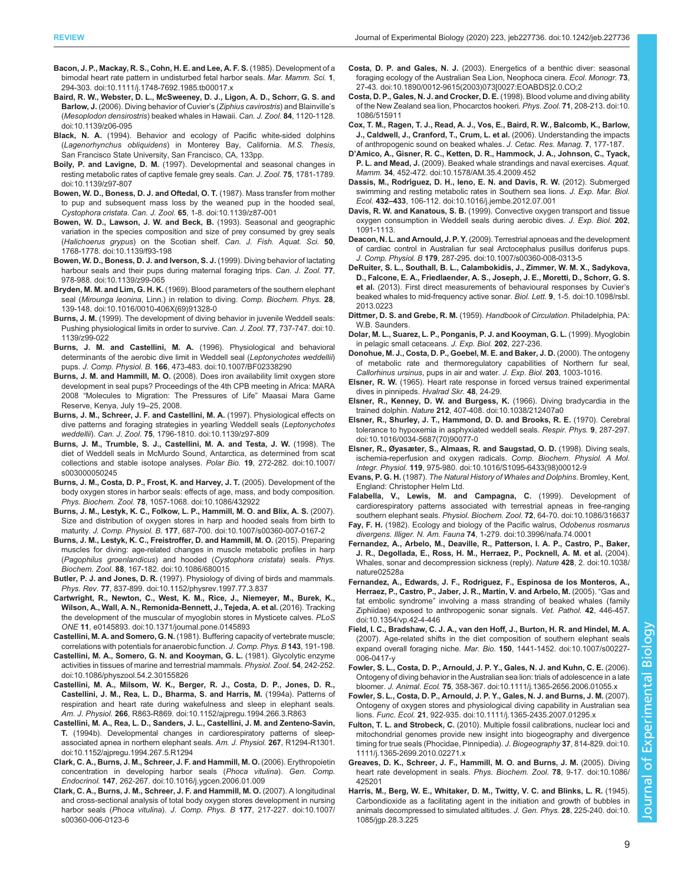- <span id="page-8-0"></span>[Bacon, J. P., Mackay, R. S., Cohn, H. E. and Lee, A. F. S.](https://doi.org/10.1111/j.1748-7692.1985.tb00017.x) (1985). Development of a [bimodal heart rate pattern in undisturbed fetal harbor seals.](https://doi.org/10.1111/j.1748-7692.1985.tb00017.x) Mar. Mamm. Sci. 1, [294-303. doi:10.1111/j.1748-7692.1985.tb00017.x](https://doi.org/10.1111/j.1748-7692.1985.tb00017.x)
- [Baird, R. W., Webster, D. L., McSweeney, D. J., Ligon, A. D., Schorr, G. S. and](https://doi.org/10.1139/z06-095) Barlow, J. [\(2006\). Diving behavior of Cuvier](https://doi.org/10.1139/z06-095)'s (Ziphius cavirostris) and Blainville's (Mesoplodon densirostris[\) beaked whales in Hawaii.](https://doi.org/10.1139/z06-095) Can. J. Zool. 84, 1120-1128. [doi:10.1139/z06-095](https://doi.org/10.1139/z06-095)
- Black, N. A. (1994). Behavior and ecology of Pacific white-sided dolphins (Lagenorhynchus obliquidens) in Monterey Bay, California. M.S. Thesis, San Francisco State University, San Francisco, CA, 133pp.
- Boily, P. and Lavigne, D. M. [\(1997\). Developmental and seasonal changes in](https://doi.org/10.1139/z97-807) [resting metabolic rates of captive female grey seals.](https://doi.org/10.1139/z97-807) Can. J. Zool. 75, 1781-1789. [doi:10.1139/z97-807](https://doi.org/10.1139/z97-807)
- [Bowen, W. D., Boness, D. J. and Oftedal, O. T.](https://doi.org/10.1139/z87-001) (1987). Mass transfer from mother [to pup and subsequent mass loss by the weaned pup in the hooded seal,](https://doi.org/10.1139/z87-001) Cystophora cristata. Can. J. Zool. 65[, 1-8. doi:10.1139/z87-001](https://doi.org/10.1139/z87-001)
- [Bowen, W. D., Lawson, J. W. and Beck, B.](https://doi.org/10.1139/f93-198) (1993). Seasonal and geographic [variation in the species composition and size of prey consumed by grey seals](https://doi.org/10.1139/f93-198) (Halichoerus grypus) on the Scotian shelf. [Can. J. Fish. Aquat. Sci.](https://doi.org/10.1139/f93-198) 50, [1768-1778. doi:10.1139/f93-198](https://doi.org/10.1139/f93-198)
- [Bowen, W. D., Boness, D. J. and Iverson, S. J.](https://doi.org/10.1139/z99-065) (1999). Diving behavior of lactating [harbour seals and their pups during maternal foraging trips.](https://doi.org/10.1139/z99-065) Can. J. Zool. 77, [978-988. doi:10.1139/z99-065](https://doi.org/10.1139/z99-065)
- Bryden, M. M. and Lim, G. H. K. [\(1969\). Blood parameters of the southern elephant](https://doi.org/10.1016/0010-406X(69)91328-0) seal (Mirounga leonina[, Linn.\) in relation to diving.](https://doi.org/10.1016/0010-406X(69)91328-0) Comp. Biochem. Phys. 28, [139-148. doi:10.1016/0010-406X\(69\)91328-0](https://doi.org/10.1016/0010-406X(69)91328-0)
- Burns, J. M. [\(1999\). The development of diving behavior in juvenile Weddell seals:](https://doi.org/10.1139/z99-022) [Pushing physiological limits in order to survive.](https://doi.org/10.1139/z99-022) Can. J. Zool. 77, 737-747. doi:10. [1139/z99-022](https://doi.org/10.1139/z99-022)
- [Burns, J. M. and Castellini, M. A.](https://doi.org/10.1007/BF02338290) (1996). Physiological and behavioral [determinants of the aerobic dive limit in Weddell seal \(](https://doi.org/10.1007/BF02338290)Leptonychotes weddellii) pups. J. Comp. Physiol. B. 166[, 473-483. doi:10.1007/BF02338290](https://doi.org/10.1007/BF02338290)
- Burns, J. M. and Hammill, M. O. (2008). Does iron availability limit oxygen store development in seal pups? Proceedings of the 4th CPB meeting in Africa: MARA 2008 "Molecules to Migration: The Pressures of Life" Maasai Mara Game Reserve, Kenya, July 19–25, 2008.
- [Burns, J. M., Schreer, J. F. and Castellini, M. A.](https://doi.org/10.1139/z97-809) (1997). Physiological effects on [dive patterns and foraging strategies in yearling Weddell seals \(](https://doi.org/10.1139/z97-809)Leptonychotes weddellii). Can. J. Zool. 75[, 1796-1810. doi:10.1139/z97-809](https://doi.org/10.1139/z97-809)
- [Burns, J. M., Trumble, S. J., Castellini, M. A. and Testa, J. W.](https://doi.org/10.1007/s003000050245) (1998). The [diet of Weddell seals in McMurdo Sound, Antarctica, as determined from scat](https://doi.org/10.1007/s003000050245) [collections and stable isotope analyses.](https://doi.org/10.1007/s003000050245) Polar Bio. 19, 272-282. doi:10.1007/ [s003000050245](https://doi.org/10.1007/s003000050245)
- [Burns, J. M., Costa, D. P., Frost, K. and Harvey, J. T.](https://doi.org/10.1086/432922) (2005). Development of the [body oxygen stores in harbor seals: effects of age, mass, and body composition.](https://doi.org/10.1086/432922) Phys. Biochem. Zool. 78[, 1057-1068. doi:10.1086/432922](https://doi.org/10.1086/432922)
- [Burns, J. M., Lestyk, K. C., Folkow, L. P., Hammill, M. O. and Blix, A. S.](https://doi.org/10.1007/s00360-007-0167-2) (2007). [Size and distribution of oxygen stores in harp and hooded seals from birth to](https://doi.org/10.1007/s00360-007-0167-2) maturity. J. Comp. Physiol. B. 177[, 687-700. doi:10.1007/s00360-007-0167-2](https://doi.org/10.1007/s00360-007-0167-2)
- [Burns, J. M., Lestyk, K. C., Freistroffer, D. and Hammill, M. O.](https://doi.org/10.1086/680015) (2015). Preparing [muscles for diving: age-related changes in muscle metabolic profiles in harp](https://doi.org/10.1086/680015) ([Pagophilus groenlandicus](https://doi.org/10.1086/680015)) and hooded (Cystophora cristata) seals. Phys. Biochem. Zool. 88[, 167-182. doi:10.1086/680015](https://doi.org/10.1086/680015)
- Butler, P. J. and Jones, D. R. [\(1997\). Physiology of diving of birds and mammals.](https://doi.org/10.1152/physrev.1997.77.3.837) Phys. Rev. 77[, 837-899. doi:10.1152/physrev.1997.77.3.837](https://doi.org/10.1152/physrev.1997.77.3.837)
- [Cartwright, R., Newton, C., West, K. M., Rice, J., Niemeyer, M., Burek, K.,](https://doi.org/10.1371/journal.pone.0145893) [Wilson, A., Wall, A. N., Remonida-Bennett, J., Tejeda, A. et al.](https://doi.org/10.1371/journal.pone.0145893) (2016). Tracking [the development of the muscular of myoglobin stores in Mysticete calves.](https://doi.org/10.1371/journal.pone.0145893) PLoS ONE 11[, e0145893. doi:10.1371/journal.pone.0145893](https://doi.org/10.1371/journal.pone.0145893)
- Castellini, M. A. and Somero, G. N. (1981). Buffering capacity of vertebrate muscle; correlations with potentials for anaerobic function. J. Comp. Phys. B 143, 191-198.
- [Castellini, M. A., Somero, G. N. and Kooyman, G. L.](https://doi.org/10.1086/physzool.54.2.30155826) (1981). Glycolytic enzyme [activities in tissues of marine and terrestrial mammals.](https://doi.org/10.1086/physzool.54.2.30155826) Physiol. Zool. 54, 242-252. [doi:10.1086/physzool.54.2.30155826](https://doi.org/10.1086/physzool.54.2.30155826)
- [Castellini, M. A., Milsom, W. K., Berger, R. J., Costa, D. P., Jones, D. R.,](https://doi.org/10.1152/ajpregu.1994.266.3.R863) [Castellini, J. M., Rea, L. D., Bharma, S. and Harris, M.](https://doi.org/10.1152/ajpregu.1994.266.3.R863) (1994a). Patterns of [respiration and heart rate during wakefulness and sleep in elephant seals.](https://doi.org/10.1152/ajpregu.1994.266.3.R863) Am. J. Physiol. 266[, R863-R869. doi:10.1152/ajpregu.1994.266.3.R863](https://doi.org/10.1152/ajpregu.1994.266.3.R863)
- [Castellini, M. A., Rea, L. D., Sanders, J. L., Castellini, J. M. and Zenteno-Savin,](https://doi.org/10.1152/ajpregu.1994.267.5.R1294) T. [\(1994b\). Developmental changes in cardiorespiratory patterns of sleep](https://doi.org/10.1152/ajpregu.1994.267.5.R1294)[associated apnea in northern elephant seals.](https://doi.org/10.1152/ajpregu.1994.267.5.R1294) Am. J. Physiol. 267, R1294-R1301. [doi:10.1152/ajpregu.1994.267.5.R1294](https://doi.org/10.1152/ajpregu.1994.267.5.R1294)
- [Clark, C. A., Burns, J. M., Schreer, J. F. and Hammill, M. O.](https://doi.org/10.1016/j.ygcen.2006.01.009) (2006). Erythropoietin [concentration in developing harbor seals \(](https://doi.org/10.1016/j.ygcen.2006.01.009)Phoca vitulina). Gen. Comp. Endocrinol. 147[, 262-267. doi:10.1016/j.ygcen.2006.01.009](https://doi.org/10.1016/j.ygcen.2006.01.009)
- [Clark, C. A., Burns, J. M., Schreer, J. F. and Hammill, M. O.](https://doi.org/10.1007/s00360-006-0123-6) (2007). A longitudinal [and cross-sectional analysis of total body oxygen stores development in nursing](https://doi.org/10.1007/s00360-006-0123-6) harbor seals (Phoca vitulina). J. Comp. Phys. B 177[, 217-227. doi:10.1007/](https://doi.org/10.1007/s00360-006-0123-6) [s00360-006-0123-6](https://doi.org/10.1007/s00360-006-0123-6)
- Costa, D. P. and Gales, N. J. [\(2003\). Energetics of a benthic diver: seasonal](https://doi.org/10.1890/0012-9615(2003)073[0027:EOABDS]2.0.CO;2) [foraging ecology of the Australian Sea Lion, Neophoca cinera.](https://doi.org/10.1890/0012-9615(2003)073[0027:EOABDS]2.0.CO;2) Ecol. Monogr. 73, [27-43. doi:10.1890/0012-9615\(2003\)073\[0027:EOABDS\]2.0.CO;2](https://doi.org/10.1890/0012-9615(2003)073[0027:EOABDS]2.0.CO;2)
- [Costa, D. P., Gales, N. J. and Crocker, D. E.](https://doi.org/10.1086/515911) (1998). Blood volume and diving ability [of the New Zealand sea lion, Phocarctos hookeri.](https://doi.org/10.1086/515911) Phys. Zool. 71, 208-213. doi:10. [1086/515911](https://doi.org/10.1086/515911)
- Cox, T. M., Ragen, T. J., Read, A. J., Vos, E., Baird, R. W., Balcomb, K., Barlow, J., Caldwell, J., Cranford, T., Crum, L. et al. (2006). Understanding the impacts of anthropogenic sound on beaked whales. J. Cetac. Res. Manag. 7, 177-187.
- D'[Amico, A., Gisner, R. C., Ketten, D. R., Hammock, J. A., Johnson, C., Tyack,](https://doi.org/10.1578/AM.35.4.2009.452) P. L. and Mead, J. [\(2009\). Beaked whale strandings and naval exercises.](https://doi.org/10.1578/AM.35.4.2009.452) Aquat. Mamm. 34[, 452-472. doi:10.1578/AM.35.4.2009.452](https://doi.org/10.1578/AM.35.4.2009.452)
- Dassis, M., Rodrí[guez, D. H., Ieno, E. N. and Davis, R. W.](https://doi.org/10.1016/j.jembe.2012.07.001) (2012). Submerged [swimming and resting metabolic rates in Southern sea lions.](https://doi.org/10.1016/j.jembe.2012.07.001) J. Exp. Mar. Biol. Ecol. 432–433[, 106-112. doi:10.1016/j.jembe.2012.07.001](https://doi.org/10.1016/j.jembe.2012.07.001)
- Davis, R. W. and Kanatous, S. B. (1999). Convective oxygen transport and tissue oxygen consumption in Weddell seals during aerobic dives. J. Exp. Biol. 202, 1091-1113.
- Deacon, N. L. and Arnould, J. P. Y. [\(2009\). Terrestrial apnoeas and the development](https://doi.org/10.1007/s00360-008-0313-5) [of cardiac control in Australian fur seal Arctocephalus pusillus doriferus pups.](https://doi.org/10.1007/s00360-008-0313-5) J. Comp. Physiol. B 179[, 287-295. doi:10.1007/s00360-008-0313-5](https://doi.org/10.1007/s00360-008-0313-5)
- [DeRuiter, S. L., Southall, B. L., Calambokidis, J., Zimmer, W. M. X., Sadykova,](https://doi.org/10.1098/rsbl.2013.0223) [D., Falcone, E. A., Friedlaender, A. S., Joseph, J. E., Moretti, D., Schorr, G. S.](https://doi.org/10.1098/rsbl.2013.0223) et al. [\(2013\). First direct measurements of behavioural responses by Cuvier](https://doi.org/10.1098/rsbl.2013.0223)'s [beaked whales to mid-frequency active sonar.](https://doi.org/10.1098/rsbl.2013.0223) Biol. Lett. 9, 1-5. doi:10.1098/rsbl. [2013.0223](https://doi.org/10.1098/rsbl.2013.0223)
- Dittmer, D. S. and Grebe, R. M. (1959). Handbook of Circulation. Philadelphia, PA: W.B. Saunders.
- Dolar, M. L., Suarez, L. P., Ponganis, P. J. and Kooyman, G. L. (1999). Myoglobin in pelagic small cetaceans. J. Exp. Biol. 202, 227-236.
- Donohue, M. J., Costa, D. P., Goebel, M. E. and Baker, J. D. (2000). The ontogeny of metabolic rate and thermoregulatory capabilities of Northern fur seal, Callorhinus ursinus, pups in air and water. J. Exp. Biol. 203, 1003-1016.
- Elsner, R. W. (1965). Heart rate response in forced versus trained experimental dives in pinnipeds. Hvalrad Skr. 48, 24-29.
- [Elsner, R., Kenney, D. W. and Burgess, K.](https://doi.org/10.1038/212407a0) (1966). Diving bradycardia in the trained dolphin. Nature 212[, 407-408. doi:10.1038/212407a0](https://doi.org/10.1038/212407a0)
- [Elsner, R., Shurley, J. T., Hammond, D. D. and Brooks, R. E.](https://doi.org/10.1016/0034-5687(70)90077-0) (1970). Cerebral [tolerance to hypoxemia in asphyxiated weddell seals.](https://doi.org/10.1016/0034-5687(70)90077-0) Respir. Phys. 9, 287-297. [doi:10.1016/0034-5687\(70\)90077-0](https://doi.org/10.1016/0034-5687(70)90077-0)
- [Elsner, R., Øyasæter, S., Almaas, R. and Saugstad, O. D.](https://doi.org/10.1016/S1095-6433(98)00012-9) (1998). Diving seals, [ischemia-reperfusion and oxygen radicals.](https://doi.org/10.1016/S1095-6433(98)00012-9) Comp. Biochem. Physiol. A Mol. Integr. Physiol. 119[, 975-980. doi:10.1016/S1095-6433\(98\)00012-9](https://doi.org/10.1016/S1095-6433(98)00012-9)
- Evans, P. G. H. (1987). The Natural History of Whales and Dolphins. Bromley, Kent, England: Christopher Helm Ltd.
- [Falabella, V., Lewis, M. and Campagna, C.](https://doi.org/10.1086/316637) (1999). Development of [cardiorespiratory patterns associated with terrestrial apneas in free-ranging](https://doi.org/10.1086/316637) southern elephant seals. Physiol. Biochem. Zool. 72[, 64-70. doi:10.1086/316637](https://doi.org/10.1086/316637)
- Fay, F. H. [\(1982\). Ecology and biology of the Pacific walrus,](https://doi.org/10.3996/nafa.74.0001) Odobenus rosmarus divergens. Illiger. N. Am. Fauna 74[, 1-279. doi:10.3996/nafa.74.0001](https://doi.org/10.3996/nafa.74.0001)
- [Fernandez, A., Arbelo, M., Deaville, R., Patterson, I. A. P., Castro, P., Baker,](https://doi.org/10.1038/nature02528a) [J. R., Degollada, E., Ross, H. M., Herraez, P., Pocknell, A. M. et al.](https://doi.org/10.1038/nature02528a) (2004). [Whales, sonar and decompression sickness \(reply\).](https://doi.org/10.1038/nature02528a) Nature 428, 2. doi:10.1038/ [nature02528a](https://doi.org/10.1038/nature02528a)
- [Fernandez, A., Edwards, J. F., Rodriguez, F., Espinosa de los Monteros, A.,](https://doi.org/10.1354/vp.42-4-446) [Herraez, P., Castro, P., Jaber, J. R., Martin, V. and Arbelo, M.](https://doi.org/10.1354/vp.42-4-446) (2005). "Gas and fat embolic syndrome" [involving a mass stranding of beaked whales \(family](https://doi.org/10.1354/vp.42-4-446) [Ziphiidae\) exposed to anthropogenic sonar signals.](https://doi.org/10.1354/vp.42-4-446) Vet. Pathol. 42, 446-457. [doi:10.1354/vp.42-4-446](https://doi.org/10.1354/vp.42-4-446)
- [Field, I. C., Bradshaw, C. J. A., van den Hoff, J., Burton, H. R. and Hindel, M. A.](https://doi.org/10.1007/s00227-006-0417-y) [\(2007\). Age-related shifts in the diet composition of southern elephant seals](https://doi.org/10.1007/s00227-006-0417-y) expand overall foraging niche. Mar. Bio. 150[, 1441-1452. doi:10.1007/s00227-](https://doi.org/10.1007/s00227-006-0417-y) [006-0417-y](https://doi.org/10.1007/s00227-006-0417-y)
- [Fowler, S. L., Costa, D. P., Arnould, J. P. Y., Gales, N. J. and Kuhn, C. E.](https://doi.org/10.1111/j.1365-2656.2006.01055.x) (2006). [Ontogeny of diving behavior in the Australian sea lion: trials of adolescence in a late](https://doi.org/10.1111/j.1365-2656.2006.01055.x) bloomer. J. Animal. Ecol. 75[, 358-367. doi:10.1111/j.1365-2656.2006.01055.x](https://doi.org/10.1111/j.1365-2656.2006.01055.x)
- [Fowler, S. L., Costa, D. P., Arnould, J. P. Y., Gales, N. J. and Burns, J. M.](https://doi.org/10.1111/j.1365-2435.2007.01295.x) (2007). [Ontogeny of oxygen stores and physiological diving capability in Australian sea](https://doi.org/10.1111/j.1365-2435.2007.01295.x) lions. Func. Ecol. 21[, 922-935. doi:10.1111/j.1365-2435.2007.01295.x](https://doi.org/10.1111/j.1365-2435.2007.01295.x)
- Fulton, T. L. and Strobeck, C. [\(2010\). Multiple fossil calibrations, nuclear loci and](https://doi.org/10.1111/j.1365-2699.2010.02271.x) [mitochondrial genomes provide new insight into biogeography and divergence](https://doi.org/10.1111/j.1365-2699.2010.02271.x) [timing for true seals \(Phocidae, Pinnipedia\).](https://doi.org/10.1111/j.1365-2699.2010.02271.x) J. Biogeography 37, 814-829. doi:10. [1111/j.1365-2699.2010.02271.x](https://doi.org/10.1111/j.1365-2699.2010.02271.x)
- [Greaves, D. K., Schreer, J. F., Hammill, M. O. and Burns, J. M.](https://doi.org/10.1086/425201) (2005). Diving [heart rate development in seals.](https://doi.org/10.1086/425201) Phys. Biochem. Zool. 78, 9-17. doi:10.1086/ [425201](https://doi.org/10.1086/425201)
- [Harris, M., Berg, W. E., Whitaker, D. M., Twitty, V. C. and Blinks, L. R.](https://doi.org/10.1085/jgp.28.3.225) (1945). [Carbondioxide as a facilitating agent in the initiation and growth of bubbles in](https://doi.org/10.1085/jgp.28.3.225) [animals decompressed to simulated altitudes.](https://doi.org/10.1085/jgp.28.3.225) J. Gen. Phys. 28, 225-240. doi:10. [1085/jgp.28.3.225](https://doi.org/10.1085/jgp.28.3.225)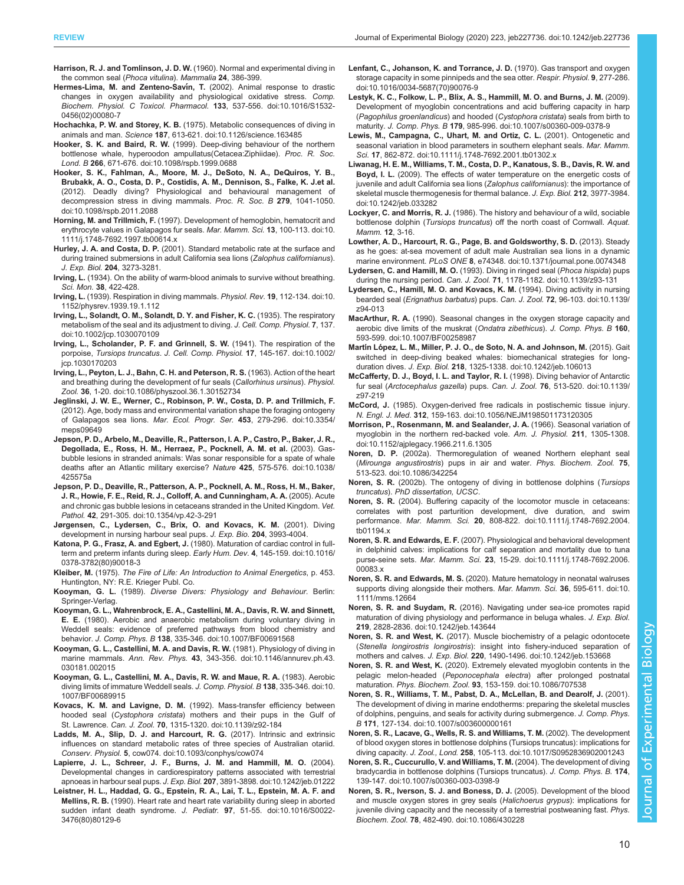- <span id="page-9-0"></span>Harrison, R. J. and Tomlinson, J. D. W. (1960). Normal and experimental diving in the common seal (Phoca vitulina). Mammalia 24, 386-399.
- [Hermes-Lima, M. and Zenteno-Sav](https://doi.org/10.1016/S1532-0456(02)00080-7)ín, T. (2002). Animal response to drastic [changes in oxygen availability and physiological oxidative stress.](https://doi.org/10.1016/S1532-0456(02)00080-7) Comp. [Biochem. Physiol. C Toxicol. Pharmacol.](https://doi.org/10.1016/S1532-0456(02)00080-7) 133, 537-556. doi:10.1016/S1532- [0456\(02\)00080-7](https://doi.org/10.1016/S1532-0456(02)00080-7)
- Hochachka, P. W. and Storey, K. B. [\(1975\). Metabolic consequences of diving in](https://doi.org/10.1126/science.163485) animals and man. Science 187[, 613-621. doi:10.1126/science.163485](https://doi.org/10.1126/science.163485)
- Hooker, S. K. and Baird, R. W. [\(1999\). Deep-diving behaviour of the northern](https://doi.org/10.1098/rspb.1999.0688) [bottlenose whale, hyperoodon ampullatus\(Cetacea:Ziphiidae\).](https://doi.org/10.1098/rspb.1999.0688) Proc. R. Soc. Lond. B 266[, 671-676. doi:10.1098/rspb.1999.0688](https://doi.org/10.1098/rspb.1999.0688)
- [Hooker, S. K., Fahlman, A., Moore, M. J., DeSoto, N. A., DeQuiros, Y. B.,](https://doi.org/10.1098/rspb.2011.2088) [Brubakk, A. O., Costa, D. P., Costidis, A. M., Dennison, S., Falke, K. J.et al.](https://doi.org/10.1098/rspb.2011.2088) [\(2012\). Deadly diving? Physiological and behavioural management of](https://doi.org/10.1098/rspb.2011.2088) [decompression stress in diving mammals.](https://doi.org/10.1098/rspb.2011.2088) Proc. R. Soc. B 279, 1041-1050. [doi:10.1098/rspb.2011.2088](https://doi.org/10.1098/rspb.2011.2088)
- Horning, M. and Trillmich, F. [\(1997\). Development of hemoglobin, hematocrit and](https://doi.org/10.1111/j.1748-7692.1997.tb00614.x) [erythrocyte values in Galapagos fur seals.](https://doi.org/10.1111/j.1748-7692.1997.tb00614.x) Mar. Mamm. Sci. 13, 100-113. doi:10. [1111/j.1748-7692.1997.tb00614.x](https://doi.org/10.1111/j.1748-7692.1997.tb00614.x)
- Hurley, J. A. and Costa, D. P. (2001). Standard metabolic rate at the surface and during trained submersions in adult California sea lions (Zalophus californianus). J. Exp. Biol. 204, 3273-3281.
- Irving, L. (1934). On the ability of warm-blood animals to survive without breathing. Sci. Mon. 38, 422-428.
- Irving, L. [\(1939\). Respiration in diving mammals.](https://doi.org/10.1152/physrev.1939.19.1.112) Physiol. Rev. 19, 112-134. doi:10. [1152/physrev.1939.19.1.112](https://doi.org/10.1152/physrev.1939.19.1.112)
- [Irving, L., Solandt, O. M., Solandt, D. Y. and Fisher, K. C.](https://doi.org/10.1002/jcp.1030070109) (1935). The respiratory [metabolism of the seal and its adjustment to diving.](https://doi.org/10.1002/jcp.1030070109) J. Cell. Comp. Physiol. 7, 137. [doi:10.1002/jcp.1030070109](https://doi.org/10.1002/jcp.1030070109)
- [Irving, L., Scholander, P. F. and Grinnell, S. W.](https://doi.org/10.1002/jcp.1030170203) (1941). The respiration of the porpoise, Tursiops truncatus. J. Cell. Comp. Physiol. 17[, 145-167. doi:10.1002/](https://doi.org/10.1002/jcp.1030170203) [jcp.1030170203](https://doi.org/10.1002/jcp.1030170203)
- [Irving, L., Peyton, L. J., Bahn, C. H. and Peterson, R. S.](https://doi.org/10.1086/physzool.36.1.30152734) (1963). Action of the heart [and breathing during the development of fur seals \(](https://doi.org/10.1086/physzool.36.1.30152734)Callorhinus ursinus). Physiol. Zool. 36[, 1-20. doi:10.1086/physzool.36.1.30152734](https://doi.org/10.1086/physzool.36.1.30152734)
- [Jeglinski, J. W. E., Werner, C., Robinson, P. W., Costa, D. P. and Trillmich, F.](https://doi.org/10.3354/meps09649) [\(2012\). Age, body mass and environmental variation shape the foraging ontogeny](https://doi.org/10.3354/meps09649) [of Galapagos sea lions.](https://doi.org/10.3354/meps09649) Mar. Ecol. Progr. Ser. 453, 279-296. doi:10.3354/ [meps09649](https://doi.org/10.3354/meps09649)
- [Jepson, P. D., Arbelo, M., Deaville, R., Patterson, I. A. P., Castro, P., Baker, J. R.,](https://doi.org/10.1038/425575a) [Degollada, E., Ross, H. M., Herraez, P., Pocknell, A. M. et al.](https://doi.org/10.1038/425575a) (2003). Gas[bubble lesions in stranded animals: Was sonar responsible for a spate of whale](https://doi.org/10.1038/425575a) [deaths after an Atlantic military exercise?](https://doi.org/10.1038/425575a) Nature 425, 575-576. doi:10.1038/ [425575a](https://doi.org/10.1038/425575a)
- [Jepson, P. D., Deaville, R., Patterson, A. P., Pocknell, A. M., Ross, H. M., Baker,](https://doi.org/10.1354/vp.42-3-291) [J. R., Howie, F. E., Reid, R. J., Colloff, A. and Cunningham, A. A.](https://doi.org/10.1354/vp.42-3-291) (2005). Acute [and chronic gas bubble lesions in cetaceans stranded in the United Kingdom.](https://doi.org/10.1354/vp.42-3-291) Vet. Pathol. 42[, 291-305. doi:10.1354/vp.42-3-291](https://doi.org/10.1354/vp.42-3-291)
- Jørgensen, C., Lydersen, C., Brix, O. and Kovacs, K. M. (2001). Diving development in nursing harbour seal pups. J. Exp. Bio. 204, 3993-4004.
- Katona, P. G., Frasz, A. and Egbert, J. [\(1980\). Maturation of cardiac control in full](https://doi.org/10.1016/0378-3782(80)90018-3)[term and preterm infants during sleep.](https://doi.org/10.1016/0378-3782(80)90018-3) Early Hum. Dev. 4, 145-159. doi:10.1016/ [0378-3782\(80\)90018-3](https://doi.org/10.1016/0378-3782(80)90018-3)
- Kleiber, M. (1975). The Fire of Life: An Introduction to Animal Energetics, p. 453. Huntington, NY: R.E. Krieger Publ. Co.
- Kooyman, G. L. (1989). Diverse Divers: Physiology and Behaviour. Berlin: Springer-Verlag.
- [Kooyman, G. L., Wahrenbrock, E. A., Castellini, M. A., Davis, R. W. and Sinnett,](https://doi.org/10.1007/BF00691568) E. E. [\(1980\). Aerobic and anaerobic metabolism during voluntary diving in](https://doi.org/10.1007/BF00691568) [Weddell seals: evidence of preferred pathways from blood chemistry and](https://doi.org/10.1007/BF00691568) behavior. J. Comp. Phys. B 138[, 335-346. doi:10.1007/BF00691568](https://doi.org/10.1007/BF00691568)
- [Kooyman, G. L., Castellini, M. A. and Davis, R. W.](https://doi.org/10.1146/annurev.ph.43.030181.002015) (1981). Physiology of diving in marine mammals. Ann. Rev. Phys. 43[, 343-356. doi:10.1146/annurev.ph.43.](https://doi.org/10.1146/annurev.ph.43.030181.002015) [030181.002015](https://doi.org/10.1146/annurev.ph.43.030181.002015)
- [Kooyman, G. L., Castellini, M. A., Davis, R. W. and Maue, R. A.](https://doi.org/10.1007/BF00689915) (1983). Aerobic [diving limits of immature Weddell seals.](https://doi.org/10.1007/BF00689915) J. Comp. Physiol. B 138, 335-346. doi:10. [1007/BF00689915](https://doi.org/10.1007/BF00689915)
- Kovacs, K. M. and Lavigne, D. M. [\(1992\). Mass-transfer efficiency between](https://doi.org/10.1139/z92-184) hooded seal (Cystophora cristata[\) mothers and their pups in the Gulf of](https://doi.org/10.1139/z92-184) St. Lawrence. Can. J. Zool. 70[, 1315-1320. doi:10.1139/z92-184](https://doi.org/10.1139/z92-184)
- [Ladds, M. A., Slip, D. J. and Harcourt, R. G.](https://doi.org/10.1093/conphys/cow074) (2017). Intrinsic and extrinsic [influences on standard metabolic rates of three species of Australian otariid.](https://doi.org/10.1093/conphys/cow074) Conserv. Physiol. 5[, cow074. doi:10.1093/conphys/cow074](https://doi.org/10.1093/conphys/cow074)
- [Lapierre, J. L., Schreer, J. F., Burns, J. M. and Hammill, M. O.](https://doi.org/10.1242/jeb.01222) (2004). [Developmental changes in cardiorespiratory patterns associated with terrestrial](https://doi.org/10.1242/jeb.01222) apnoeas in harbour seal pups. J. Exp. Biol. 207[, 3891-3898. doi:10.1242/jeb.01222](https://doi.org/10.1242/jeb.01222)
- [Leistner, H. L., Haddad, G. G., Epstein, R. A., Lai, T. L., Epstein, M. A. F. and](https://doi.org/10.1016/S0022-3476(80)80129-6) Mellins, R. B. [\(1990\). Heart rate and heart rate variability during sleep in aborted](https://doi.org/10.1016/S0022-3476(80)80129-6) [sudden infant death syndrome.](https://doi.org/10.1016/S0022-3476(80)80129-6) J. Pediatr. 97, 51-55. doi:10.1016/S0022-[3476\(80\)80129-6](https://doi.org/10.1016/S0022-3476(80)80129-6)
- [Lenfant, C., Johanson, K. and Torrance, J. D.](https://doi.org/10.1016/0034-5687(70)90076-9) (1970). Gas transport and oxygen [storage capacity in some pinnipeds and the sea otter.](https://doi.org/10.1016/0034-5687(70)90076-9) Respir. Physiol. 9, 277-286. [doi:10.1016/0034-5687\(70\)90076-9](https://doi.org/10.1016/0034-5687(70)90076-9)
- [Lestyk, K. C., Folkow, L. P., Blix, A. S., Hammill, M. O. and Burns, J. M.](https://doi.org/10.1007/s00360-009-0378-9) (2009). [Development of myoglobin concentrations and acid buffering capacity in harp](https://doi.org/10.1007/s00360-009-0378-9) ([Pagophilus groenlandicus](https://doi.org/10.1007/s00360-009-0378-9)) and hooded (Cystophora cristata) seals from birth to maturity. J. Comp. Phys. B 179[, 985-996. doi:10.1007/s00360-009-0378-9](https://doi.org/10.1007/s00360-009-0378-9)
- [Lewis, M., Campagna, C., Uhart, M. and Ortiz, C. L.](https://doi.org/10.1111/j.1748-7692.2001.tb01302.x) (2001). Ontogenetic and [seasonal variation in blood parameters in southern elephant seals.](https://doi.org/10.1111/j.1748-7692.2001.tb01302.x) Mar. Mamm. Sci. 17[, 862-872. doi:10.1111/j.1748-7692.2001.tb01302.x](https://doi.org/10.1111/j.1748-7692.2001.tb01302.x)
- [Liwanag, H. E. M., Williams, T. M., Costa, D. P., Kanatous, S. B., Davis, R. W. and](https://doi.org/10.1242/jeb.033282) Boyd, I. L. [\(2009\). The effects of water temperature on the energetic costs of](https://doi.org/10.1242/jeb.033282) [juvenile and adult California sea lions \(](https://doi.org/10.1242/jeb.033282)Zalophus californianus): the importance of [skeletal muscle thermogenesis for thermal balance.](https://doi.org/10.1242/jeb.033282) J. Exp. Biol. 212, 3977-3984. [doi:10.1242/jeb.033282](https://doi.org/10.1242/jeb.033282)
- Lockyer, C. and Morris, R. J. (1986). The history and behaviour of a wild, sociable bottlenose dolphin (Tursiops truncatus) off the north coast of Cornwall. Aquat. Mamm. 12, 3-16.
- [Lowther, A. D., Harcourt, R. G., Page, B. and Goldsworthy, S. D.](https://doi.org/10.1371/journal.pone.0074348) (2013). Steady [as he goes: at-sea movement of adult male Australian sea lions in a dynamic](https://doi.org/10.1371/journal.pone.0074348) marine environment. PLoS ONE 8[, e74348. doi:10.1371/journal.pone.0074348](https://doi.org/10.1371/journal.pone.0074348)
- [Lydersen, C. and Hamill, M. O.](https://doi.org/10.1139/z93-131) (1993). Diving in ringed seal (Phoca hispida) pups during the nursing period. Can. J. Zool. 71[, 1178-1182. doi:10.1139/z93-131](https://doi.org/10.1139/z93-131)
- [Lydersen, C., Hamill, M. O. and Kovacs, K. M.](https://doi.org/10.1139/z94-013) (1994). Diving activity in nursing bearded seal (Erignathus barbatus) pups. Can. J. Zool. 72[, 96-103. doi:10.1139/](https://doi.org/10.1139/z94-013) [z94-013](https://doi.org/10.1139/z94-013)
- MacArthur, R. A. [\(1990\). Seasonal changes in the oxygen storage capacity and](https://doi.org/10.1007/BF00258987) [aerobic dive limits of the muskrat \(](https://doi.org/10.1007/BF00258987)Ondatra zibethicus). J. Comp. Phys. B 160, [593-599. doi:10.1007/BF00258987](https://doi.org/10.1007/BF00258987)
- Martín Ló[pez, L. M., Miller, P. J. O., de Soto, N. A. and Johnson, M.](https://doi.org/10.1242/jeb.106013) (2015). Gait [switched in deep-diving beaked whales: biomechanical strategies for long](https://doi.org/10.1242/jeb.106013)duration dives. J. Exp. Biol. 218[, 1325-1338. doi:10.1242/jeb.106013](https://doi.org/10.1242/jeb.106013)
- [McCafferty, D. J., Boyd, I. L. and Taylor, R. I.](https://doi.org/10.1139/z97-219) (1998). Diving behavior of Antarctic fur seal (Arctocephalus gazella) pups. Can. J. Zool. 76[, 513-520. doi:10.1139/](https://doi.org/10.1139/z97-219) [z97-219](https://doi.org/10.1139/z97-219)
- McCord, J. [\(1985\). Oxygen-derived free radicals in postischemic tissue injury.](https://doi.org/10.1056/NEJM198501173120305) N. Engl. J. Med. 312[, 159-163. doi:10.1056/NEJM198501173120305](https://doi.org/10.1056/NEJM198501173120305)
- [Morrison, P., Rosenmann, M. and Sealander, J. A.](https://doi.org/10.1152/ajplegacy.1966.211.6.1305) (1966). Seasonal variation of [myoglobin in the northern red-backed vole.](https://doi.org/10.1152/ajplegacy.1966.211.6.1305) Am. J. Physiol. 211, 1305-1308. [doi:10.1152/ajplegacy.1966.211.6.1305](https://doi.org/10.1152/ajplegacy.1966.211.6.1305)
- Noren, D. P. [\(2002a\). Thermoregulation of weaned Northern elephant seal](https://doi.org/10.1086/342254) (Mirounga angustirostris[\) pups in air and water.](https://doi.org/10.1086/342254) Phys. Biochem. Zool. 75, [513-523. doi:10.1086/342254](https://doi.org/10.1086/342254)
- Noren, S. R. (2002b). The ontogeny of diving in bottlenose dolphins (Tursiops truncatus). PhD dissertation, UCSC.
- Noren, S. R. [\(2004\). Buffering capacity of the locomotor muscle in cetaceans:](https://doi.org/10.1111/j.1748-7692.2004.tb01194.x) [correlates with post parturition development, dive duration, and swim](https://doi.org/10.1111/j.1748-7692.2004.tb01194.x) performance. Mar. Mamm. Sci. 20[, 808-822. doi:10.1111/j.1748-7692.2004.](https://doi.org/10.1111/j.1748-7692.2004.tb01194.x) [tb01194.x](https://doi.org/10.1111/j.1748-7692.2004.tb01194.x)
- Noren, S. R. and Edwards, E. F. [\(2007\). Physiological and behavioral development](https://doi.org/10.1111/j.1748-7692.2006.00083.x) [in delphinid calves: implications for calf separation and mortality due to tuna](https://doi.org/10.1111/j.1748-7692.2006.00083.x) purse-seine sets. Mar. Mamm. Sci. 23[, 15-29. doi:10.1111/j.1748-7692.2006.](https://doi.org/10.1111/j.1748-7692.2006.00083.x) [00083.x](https://doi.org/10.1111/j.1748-7692.2006.00083.x)
- Noren, S. R. and Edwards, M. S. [\(2020\). Mature hematology in neonatal walruses](https://doi.org/10.1111/mms.12664) [supports diving alongside their mothers.](https://doi.org/10.1111/mms.12664) Mar. Mamm. Sci. 36, 595-611. doi:10. [1111/mms.12664](https://doi.org/10.1111/mms.12664)
- Noren, S. R. and Suydam, R. [\(2016\). Navigating under sea-ice promotes rapid](https://doi.org/10.1242/jeb.143644) [maturation of diving physiology and performance in beluga whales.](https://doi.org/10.1242/jeb.143644) J. Exp. Biol. 219[, 2828-2836. doi:10.1242/jeb.143644](https://doi.org/10.1242/jeb.143644)
- Noren, S. R. and West, K. [\(2017\). Muscle biochemistry of a pelagic odontocete](https://doi.org/10.1242/jeb.153668) (Stenella longirostris longirostris[\): insight into fishery-induced separation of](https://doi.org/10.1242/jeb.153668) mothers and calves. J. Exp. Biol. 220[, 1490-1496. doi:10.1242/jeb.153668](https://doi.org/10.1242/jeb.153668)
- Noren, S. R. and West, K. [\(2020\). Extremely elevated myoglobin contents in the](https://doi.org/10.1086/707538) pelagic melon-headed (Peponocephala electra[\) after prolonged postnatal](https://doi.org/10.1086/707538) maturation. Phys. Biochem. Zool. 93[, 153-159. doi:10.1086/707538](https://doi.org/10.1086/707538)
- [Noren, S. R., Williams, T. M., Pabst, D. A., McLellan, B. and Dearolf, J.](https://doi.org/10.1007/s003600000161) (2001). [The development of diving in marine endotherms: preparing the skeletal muscles](https://doi.org/10.1007/s003600000161) [of dolphins, penguins, and seals for activity during submergence.](https://doi.org/10.1007/s003600000161) J. Comp. Phys. B 171[, 127-134. doi:10.1007/s003600000161](https://doi.org/10.1007/s003600000161)
- [Noren, S. R., Lacave, G., Wells, R. S. and Williams, T. M.](https://doi.org/10.1017/S0952836902001243) (2002). The development [of blood oxygen stores in bottlenose dolphins \(Tursiops truncatus\): implications for](https://doi.org/10.1017/S0952836902001243) diving capacity. J. Zool., Lond. 258[, 105-113. doi:10.1017/S0952836902001243](https://doi.org/10.1017/S0952836902001243)
- [Noren, S. R., Cuccurullo, V. and Williams, T. M.](https://doi.org/10.1007/s00360-003-0398-9) (2004). The development of diving [bradycardia in bottlenose dolphins \(Tursiops truncatus\).](https://doi.org/10.1007/s00360-003-0398-9) J. Comp. Phys. B. 174, [139-147. doi:10.1007/s00360-003-0398-9](https://doi.org/10.1007/s00360-003-0398-9)
- [Noren, S. R., Iverson, S. J. and Boness, D. J.](https://doi.org/10.1086/430228) (2005). Development of the blood [and muscle oxygen stores in grey seals \(](https://doi.org/10.1086/430228)Halichoerus grypus): implications for [juvenile diving capacity and the necessity of a terrestrial postweaning fast.](https://doi.org/10.1086/430228) Phys. Biochem. Zool. 78[, 482-490. doi:10.1086/430228](https://doi.org/10.1086/430228)